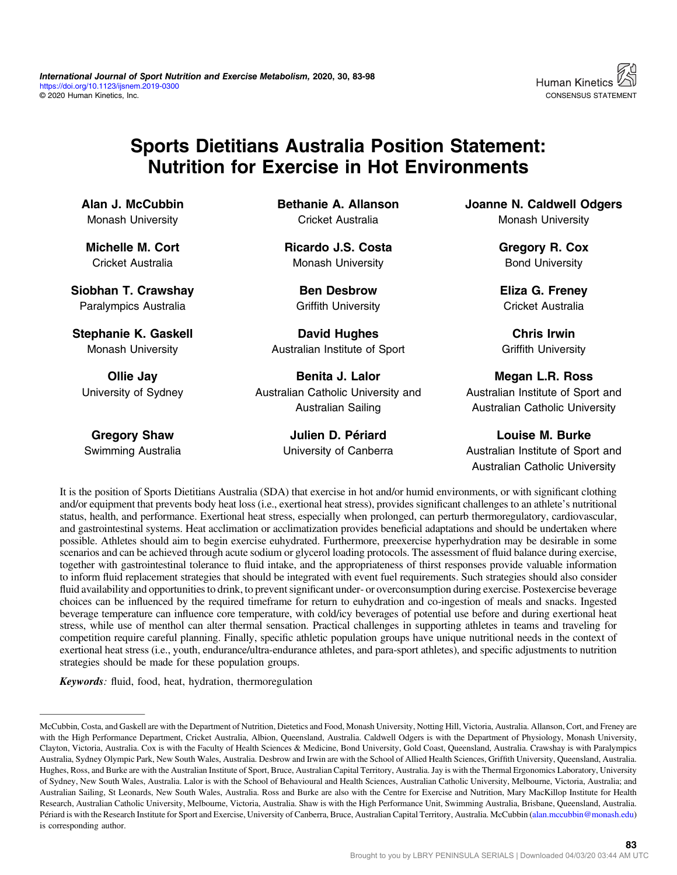

## Sports Dietitians Australia Position Statement: Nutrition for Exercise in Hot Environments

Alan J. McCubbin Monash University

Michelle M. Cort Cricket Australia

Siobhan T. Crawshay Paralympics Australia

Stephanie K. Gaskell Monash University

Ollie Jay University of Sydney

Gregory Shaw Swimming Australia Bethanie A. Allanson Cricket Australia

Ricardo J.S. Costa Monash University

Ben Desbrow Griffith University

David Hughes Australian Institute of Sport

Benita J. Lalor Australian Catholic University and Australian Sailing

> Julien D. Périard University of Canberra

Joanne N. Caldwell Odgers Monash University

> Gregory R. Cox Bond University

Eliza G. Freney Cricket Australia

Chris Irwin Griffith University

Megan L.R. Ross Australian Institute of Sport and Australian Catholic University

Louise M. Burke Australian Institute of Sport and Australian Catholic University

It is the position of Sports Dietitians Australia (SDA) that exercise in hot and/or humid environments, or with significant clothing and/or equipment that prevents body heat loss (i.e., exertional heat stress), provides significant challenges to an athlete's nutritional status, health, and performance. Exertional heat stress, especially when prolonged, can perturb thermoregulatory, cardiovascular, and gastrointestinal systems. Heat acclimation or acclimatization provides beneficial adaptations and should be undertaken where possible. Athletes should aim to begin exercise euhydrated. Furthermore, preexercise hyperhydration may be desirable in some scenarios and can be achieved through acute sodium or glycerol loading protocols. The assessment of fluid balance during exercise, together with gastrointestinal tolerance to fluid intake, and the appropriateness of thirst responses provide valuable information to inform fluid replacement strategies that should be integrated with event fuel requirements. Such strategies should also consider fluid availability and opportunities to drink, to prevent significant under- or overconsumption during exercise. Postexercise beverage choices can be influenced by the required timeframe for return to euhydration and co-ingestion of meals and snacks. Ingested beverage temperature can influence core temperature, with cold/icy beverages of potential use before and during exertional heat stress, while use of menthol can alter thermal sensation. Practical challenges in supporting athletes in teams and traveling for competition require careful planning. Finally, specific athletic population groups have unique nutritional needs in the context of exertional heat stress (i.e., youth, endurance/ultra-endurance athletes, and para-sport athletes), and specific adjustments to nutrition strategies should be made for these population groups.

Keywords: fluid, food, heat, hydration, thermoregulation

McCubbin, Costa, and Gaskell are with the Department of Nutrition, Dietetics and Food, Monash University, Notting Hill, Victoria, Australia. Allanson, Cort, and Freney are with the High Performance Department, Cricket Australia, Albion, Queensland, Australia. Caldwell Odgers is with the Department of Physiology, Monash University, Clayton, Victoria, Australia. Cox is with the Faculty of Health Sciences & Medicine, Bond University, Gold Coast, Queensland, Australia. Crawshay is with Paralympics Australia, Sydney Olympic Park, New South Wales, Australia. Desbrow and Irwin are with the School of Allied Health Sciences, Griffith University, Queensland, Australia. Hughes, Ross, and Burke are with the Australian Institute of Sport, Bruce, Australian Capital Territory, Australia. Jay is with the Thermal Ergonomics Laboratory, University of Sydney, New South Wales, Australia. Lalor is with the School of Behavioural and Health Sciences, Australian Catholic University, Melbourne, Victoria, Australia; and Australian Sailing, St Leonards, New South Wales, Australia. Ross and Burke are also with the Centre for Exercise and Nutrition, Mary MacKillop Institute for Health Research, Australian Catholic University, Melbourne, Victoria, Australia. Shaw is with the High Performance Unit, Swimming Australia, Brisbane, Queensland, Australia. Périard is with the Research Institute for Sport and Exercise, University of Canberra, Bruce, Australian Capital Territory, Australia. McCubbin (alan.mccubbin@monash.edu) is corresponding author.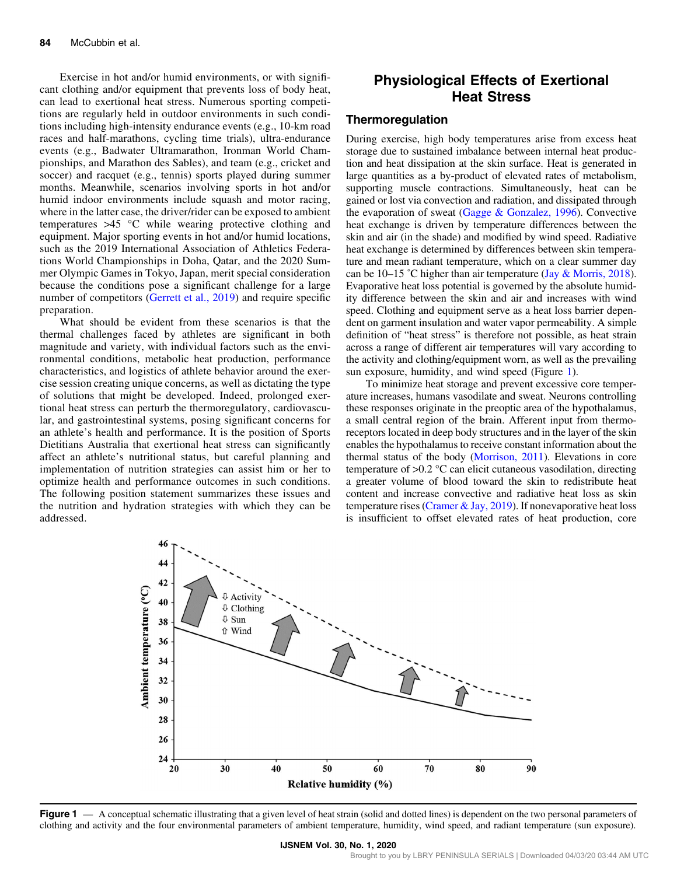Exercise in hot and/or humid environments, or with significant clothing and/or equipment that prevents loss of body heat, can lead to exertional heat stress. Numerous sporting competitions are regularly held in outdoor environments in such conditions including high-intensity endurance events (e.g., 10-km road races and half-marathons, cycling time trials), ultra-endurance events (e.g., Badwater Ultramarathon, Ironman World Championships, and Marathon des Sables), and team (e.g., cricket and soccer) and racquet (e.g., tennis) sports played during summer months. Meanwhile, scenarios involving sports in hot and/or humid indoor environments include squash and motor racing, where in the latter case, the driver/rider can be exposed to ambient temperatures >45 °C while wearing protective clothing and equipment. Major sporting events in hot and/or humid locations, such as the 2019 International Association of Athletics Federations World Championships in Doha, Qatar, and the 2020 Summer Olympic Games in Tokyo, Japan, merit special consideration because the conditions pose a significant challenge for a large number of competitors (Gerrett et al., 2019) and require specific preparation.

What should be evident from these scenarios is that the thermal challenges faced by athletes are significant in both magnitude and variety, with individual factors such as the environmental conditions, metabolic heat production, performance characteristics, and logistics of athlete behavior around the exercise session creating unique concerns, as well as dictating the type of solutions that might be developed. Indeed, prolonged exertional heat stress can perturb the thermoregulatory, cardiovascular, and gastrointestinal systems, posing significant concerns for an athlete's health and performance. It is the position of Sports Dietitians Australia that exertional heat stress can significantly affect an athlete's nutritional status, but careful planning and implementation of nutrition strategies can assist him or her to optimize health and performance outcomes in such conditions. The following position statement summarizes these issues and the nutrition and hydration strategies with which they can be addressed.

## Physiological Effects of Exertional Heat Stress

#### Thermoregulation

During exercise, high body temperatures arise from excess heat storage due to sustained imbalance between internal heat production and heat dissipation at the skin surface. Heat is generated in large quantities as a by-product of elevated rates of metabolism, supporting muscle contractions. Simultaneously, heat can be gained or lost via convection and radiation, and dissipated through the evaporation of sweat (Gagge & Gonzalez, 1996). Convective heat exchange is driven by temperature differences between the skin and air (in the shade) and modified by wind speed. Radiative heat exchange is determined by differences between skin temperature and mean radiant temperature, which on a clear summer day can be 10–15 °C higher than air temperature (Jay & Morris, 2018). Evaporative heat loss potential is governed by the absolute humidity difference between the skin and air and increases with wind speed. Clothing and equipment serve as a heat loss barrier dependent on garment insulation and water vapor permeability. A simple definition of "heat stress" is therefore not possible, as heat strain across a range of different air temperatures will vary according to the activity and clothing/equipment worn, as well as the prevailing sun exposure, humidity, and wind speed (Figure 1).

To minimize heat storage and prevent excessive core temperature increases, humans vasodilate and sweat. Neurons controlling these responses originate in the preoptic area of the hypothalamus, a small central region of the brain. Afferent input from thermoreceptors located in deep body structures and in the layer of the skin enables the hypothalamus to receive constant information about the thermal status of the body (Morrison, 2011). Elevations in core temperature of >0.2 °C can elicit cutaneous vasodilation, directing a greater volume of blood toward the skin to redistribute heat content and increase convective and radiative heat loss as skin temperature rises (Cramer & Jay, 2019). If nonevaporative heat loss is insufficient to offset elevated rates of heat production, core



Figure 1 — A conceptual schematic illustrating that a given level of heat strain (solid and dotted lines) is dependent on the two personal parameters of clothing and activity and the four environmental parameters of ambient temperature, humidity, wind speed, and radiant temperature (sun exposure).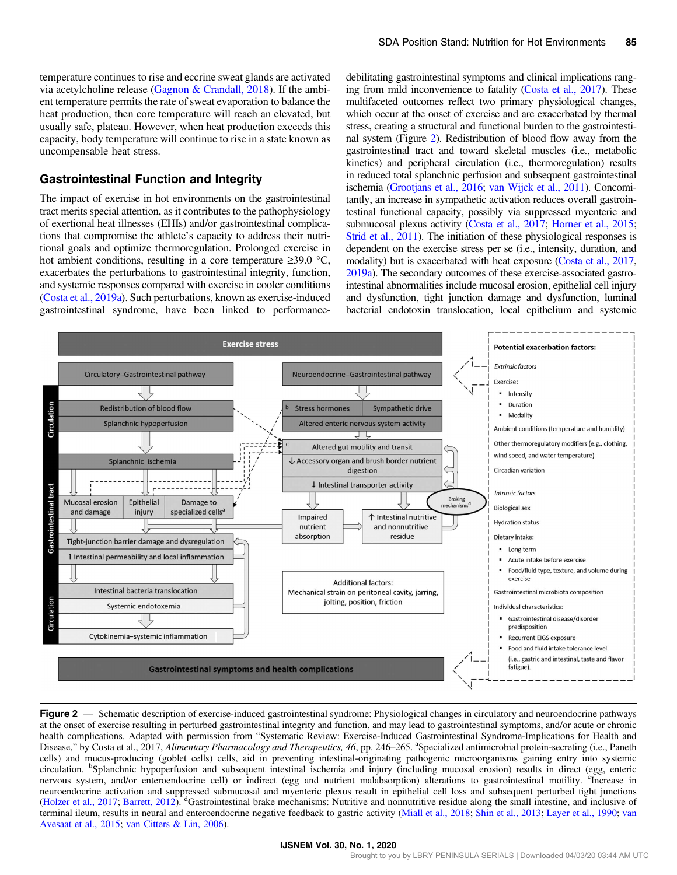temperature continues to rise and eccrine sweat glands are activated via acetylcholine release (Gagnon & Crandall, 2018). If the ambient temperature permits the rate of sweat evaporation to balance the heat production, then core temperature will reach an elevated, but usually safe, plateau. However, when heat production exceeds this capacity, body temperature will continue to rise in a state known as uncompensable heat stress.

#### Gastrointestinal Function and Integrity

The impact of exercise in hot environments on the gastrointestinal tract merits special attention, as it contributes to the pathophysiology of exertional heat illnesses (EHIs) and/or gastrointestinal complications that compromise the athlete's capacity to address their nutritional goals and optimize thermoregulation. Prolonged exercise in hot ambient conditions, resulting in a core temperature ≥39.0 °C, exacerbates the perturbations to gastrointestinal integrity, function, and systemic responses compared with exercise in cooler conditions (Costa et al., 2019a). Such perturbations, known as exercise-induced gastrointestinal syndrome, have been linked to performancedebilitating gastrointestinal symptoms and clinical implications ranging from mild inconvenience to fatality (Costa et al., 2017). These multifaceted outcomes reflect two primary physiological changes, which occur at the onset of exercise and are exacerbated by thermal stress, creating a structural and functional burden to the gastrointestinal system (Figure 2). Redistribution of blood flow away from the gastrointestinal tract and toward skeletal muscles (i.e., metabolic kinetics) and peripheral circulation (i.e., thermoregulation) results in reduced total splanchnic perfusion and subsequent gastrointestinal ischemia (Grootjans et al., 2016; van Wijck et al., 2011). Concomitantly, an increase in sympathetic activation reduces overall gastrointestinal functional capacity, possibly via suppressed myenteric and submucosal plexus activity (Costa et al., 2017; Horner et al., 2015; Strid et al., 2011). The initiation of these physiological responses is dependent on the exercise stress per se (i.e., intensity, duration, and modality) but is exacerbated with heat exposure (Costa et al., 2017, 2019a). The secondary outcomes of these exercise-associated gastrointestinal abnormalities include mucosal erosion, epithelial cell injury and dysfunction, tight junction damage and dysfunction, luminal bacterial endotoxin translocation, local epithelium and systemic



Figure 2 — Schematic description of exercise-induced gastrointestinal syndrome: Physiological changes in circulatory and neuroendocrine pathways at the onset of exercise resulting in perturbed gastrointestinal integrity and function, and may lead to gastrointestinal symptoms, and/or acute or chronic health complications. Adapted with permission from "Systematic Review: Exercise-Induced Gastrointestinal Syndrome-Implications for Health and Disease," by Costa et al., 2017, Alimentary Pharmacology and Therapeutics, 46, pp. 246–265. <sup>a</sup>Specialized antimicrobial protein-secreting (i.e., Paneth cells) and mucus-producing (goblet cells) cells, aid in preventing intestinal-originating pathogenic microorganisms gaining entry into systemic circulation. <sup>b</sup>Splanchnic hypoperfusion and subsequent intestinal ischemia and injury (including mucosal erosion) results in direct (egg, enteric nervous system, and/or enteroendocrine cell) or indirect (egg and nutrient malabsorption) alterations to gastrointestinal motility. <sup>c</sup>Increase in neuroendocrine activation and suppressed submucosal and myenteric plexus result in epithelial cell loss and subsequent perturbed tight junctions (Holzer et al., 2017; Barrett, 2012). <sup>d</sup>Gastrointestinal brake mechanisms: Nutritive and nonnutritive residue along the small intestine, and inclusive of terminal ileum, results in neural and enteroendocrine negative feedback to gastric activity (Miall et al., 2018; Shin et al., 2013; Layer et al., 1990; van Avesaat et al., 2015; van Citters & Lin, 2006).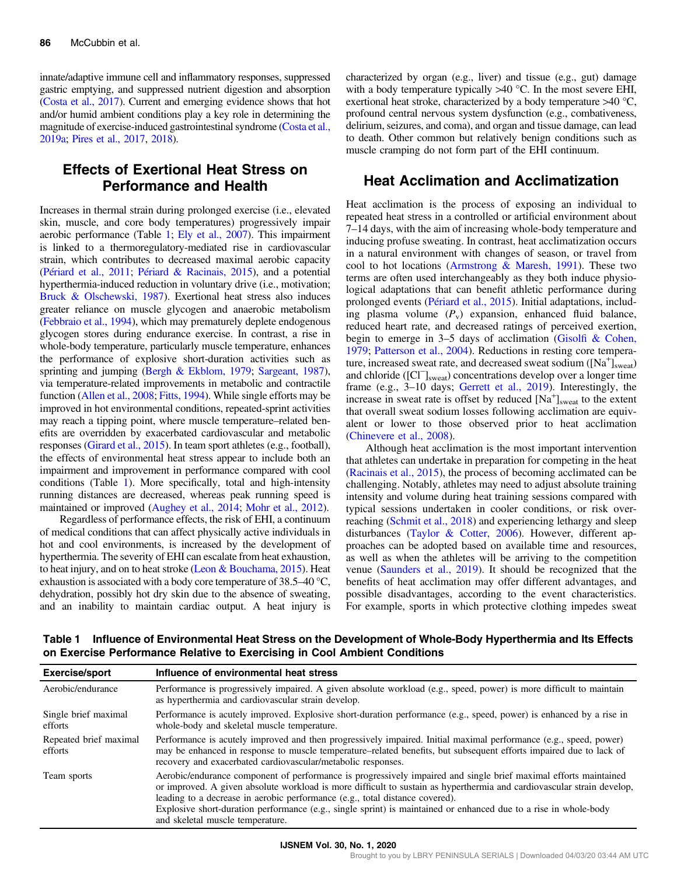innate/adaptive immune cell and inflammatory responses, suppressed gastric emptying, and suppressed nutrient digestion and absorption (Costa et al., 2017). Current and emerging evidence shows that hot and/or humid ambient conditions play a key role in determining the magnitude of exercise-induced gastrointestinal syndrome (Costa et al., 2019a; Pires et al., 2017, 2018).

## Effects of Exertional Heat Stress on Performance and Health

Increases in thermal strain during prolonged exercise (i.e., elevated skin, muscle, and core body temperatures) progressively impair aerobic performance (Table 1; Ely et al., 2007). This impairment is linked to a thermoregulatory-mediated rise in cardiovascular strain, which contributes to decreased maximal aerobic capacity (Périard et al., 2011; Périard & Racinais, 2015), and a potential hyperthermia-induced reduction in voluntary drive (i.e., motivation; Bruck & Olschewski, 1987). Exertional heat stress also induces greater reliance on muscle glycogen and anaerobic metabolism (Febbraio et al., 1994), which may prematurely deplete endogenous glycogen stores during endurance exercise. In contrast, a rise in whole-body temperature, particularly muscle temperature, enhances the performance of explosive short-duration activities such as sprinting and jumping (Bergh & Ekblom, 1979; Sargeant, 1987), via temperature-related improvements in metabolic and contractile function (Allen et al., 2008; Fitts, 1994). While single efforts may be improved in hot environmental conditions, repeated-sprint activities may reach a tipping point, where muscle temperature–related benefits are overridden by exacerbated cardiovascular and metabolic responses (Girard et al., 2015). In team sport athletes (e.g., football), the effects of environmental heat stress appear to include both an impairment and improvement in performance compared with cool conditions (Table 1). More specifically, total and high-intensity running distances are decreased, whereas peak running speed is maintained or improved (Aughey et al., 2014; Mohr et al., 2012).

Regardless of performance effects, the risk of EHI, a continuum of medical conditions that can affect physically active individuals in hot and cool environments, is increased by the development of hyperthermia. The severity of EHI can escalate from heat exhaustion, to heat injury, and on to heat stroke (Leon & Bouchama, 2015). Heat exhaustion is associated with a body core temperature of 38.5–40 °C, dehydration, possibly hot dry skin due to the absence of sweating, and an inability to maintain cardiac output. A heat injury is

characterized by organ (e.g., liver) and tissue (e.g., gut) damage with a body temperature typically  $>40$  °C. In the most severe EHI, exertional heat stroke, characterized by a body temperature >40 °C, profound central nervous system dysfunction (e.g., combativeness, delirium, seizures, and coma), and organ and tissue damage, can lead to death. Other common but relatively benign conditions such as muscle cramping do not form part of the EHI continuum.

## Heat Acclimation and Acclimatization

Heat acclimation is the process of exposing an individual to repeated heat stress in a controlled or artificial environment about 7–14 days, with the aim of increasing whole-body temperature and inducing profuse sweating. In contrast, heat acclimatization occurs in a natural environment with changes of season, or travel from cool to hot locations (Armstrong & Maresh, 1991). These two terms are often used interchangeably as they both induce physiological adaptations that can benefit athletic performance during prolonged events (Périard et al., 2015). Initial adaptations, including plasma volume  $(P_v)$  expansion, enhanced fluid balance, reduced heart rate, and decreased ratings of perceived exertion, begin to emerge in 3–5 days of acclimation (Gisolfi & Cohen, 1979; Patterson et al., 2004). Reductions in resting core temperature, increased sweat rate, and decreased sweat sodium ( $[Na^+]_{\text{sweat}}$ ) and chloride ([Cl<sup>−</sup>]<sub>sweat</sub>) concentrations develop over a longer time frame (e.g., 3–10 days; Gerrett et al., 2019). Interestingly, the increase in sweat rate is offset by reduced  $[Na^+]_{s \text{weak}}$  to the extent that overall sweat sodium losses following acclimation are equivalent or lower to those observed prior to heat acclimation (Chinevere et al., 2008).

Although heat acclimation is the most important intervention that athletes can undertake in preparation for competing in the heat (Racinais et al., 2015), the process of becoming acclimated can be challenging. Notably, athletes may need to adjust absolute training intensity and volume during heat training sessions compared with typical sessions undertaken in cooler conditions, or risk overreaching (Schmit et al., 2018) and experiencing lethargy and sleep disturbances (Taylor & Cotter, 2006). However, different approaches can be adopted based on available time and resources, as well as when the athletes will be arriving to the competition venue (Saunders et al., 2019). It should be recognized that the benefits of heat acclimation may offer different advantages, and possible disadvantages, according to the event characteristics. For example, sports in which protective clothing impedes sweat

| <b>Exercise/sport</b>             | Influence of environmental heat stress                                                                                                                                                                                                                                                                                                                                                                                                                                             |
|-----------------------------------|------------------------------------------------------------------------------------------------------------------------------------------------------------------------------------------------------------------------------------------------------------------------------------------------------------------------------------------------------------------------------------------------------------------------------------------------------------------------------------|
| Aerobic/endurance                 | Performance is progressively impaired. A given absolute workload (e.g., speed, power) is more difficult to maintain<br>as hyperthermia and cardiovascular strain develop.                                                                                                                                                                                                                                                                                                          |
| Single brief maximal<br>efforts   | Performance is acutely improved. Explosive short-duration performance (e.g., speed, power) is enhanced by a rise in<br>whole-body and skeletal muscle temperature.                                                                                                                                                                                                                                                                                                                 |
| Repeated brief maximal<br>efforts | Performance is acutely improved and then progressively impaired. Initial maximal performance (e.g., speed, power)<br>may be enhanced in response to muscle temperature–related benefits, but subsequent efforts impaired due to lack of<br>recovery and exacerbated cardiovascular/metabolic responses.                                                                                                                                                                            |
| Team sports                       | Aerobic/endurance component of performance is progressively impaired and single brief maximal efforts maintained<br>or improved. A given absolute workload is more difficult to sustain as hyperthermia and cardiovascular strain develop,<br>leading to a decrease in aerobic performance (e.g., total distance covered).<br>Explosive short-duration performance (e.g., single sprint) is maintained or enhanced due to a rise in whole-body<br>and skeletal muscle temperature. |

Table 1 Influence of Environmental Heat Stress on the Development of Whole-Body Hyperthermia and Its Effects on Exercise Performance Relative to Exercising in Cool Ambient Conditions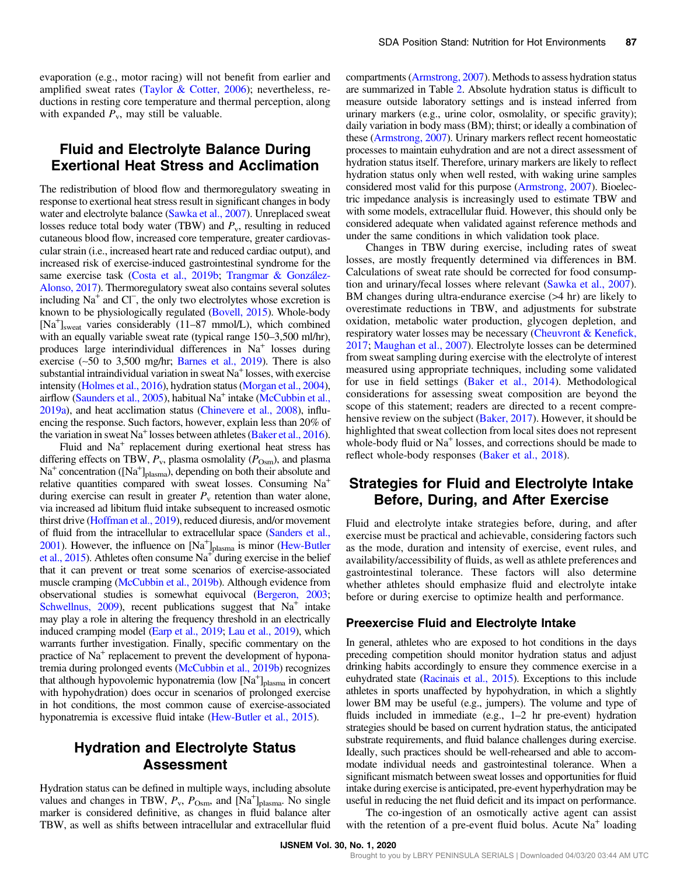evaporation (e.g., motor racing) will not benefit from earlier and amplified sweat rates (Taylor & Cotter, 2006); nevertheless, reductions in resting core temperature and thermal perception, along with expanded  $P_v$ , may still be valuable.

## Fluid and Electrolyte Balance During Exertional Heat Stress and Acclimation

The redistribution of blood flow and thermoregulatory sweating in response to exertional heat stress result in significant changes in body water and electrolyte balance (Sawka et al., 2007). Unreplaced sweat losses reduce total body water (TBW) and  $P_v$ , resulting in reduced cutaneous blood flow, increased core temperature, greater cardiovascular strain (i.e., increased heart rate and reduced cardiac output), and increased risk of exercise-induced gastrointestinal syndrome for the same exercise task (Costa et al., 2019b; Trangmar & González-Alonso, 2017). Thermoregulatory sweat also contains several solutes including Na<sup>+</sup> and Cl<sup>−</sup> , the only two electrolytes whose excretion is known to be physiologically regulated (Bovell, 2015). Whole-body [Na<sup>+</sup>]<sub>sweat</sub> varies considerably (11-87 mmol/L), which combined with an equally variable sweat rate (typical range  $150-3,500$  ml/hr), produces large interindividual differences in  $Na<sup>+</sup>$  losses during exercise (∼50 to 3,500 mg/hr; Barnes et al., 2019). There is also substantial intraindividual variation in sweat  $Na<sup>+</sup>$  losses, with exercise intensity (Holmes et al., 2016), hydration status (Morgan et al., 2004), airflow (Saunders et al., 2005), habitual  $Na<sup>+</sup>$  intake (McCubbin et al., 2019a), and heat acclimation status (Chinevere et al., 2008), influencing the response. Such factors, however, explain less than 20% of the variation in sweat  $Na<sup>+</sup>$  losses between athletes (Baker et al., 2016).

Fluid and  $Na<sup>+</sup>$  replacement during exertional heat stress has differing effects on TBW,  $P_v$ , plasma osmolality ( $P_{\text{Osm}}$ ), and plasma  $Na<sup>+</sup>$  concentration ([Na<sup>+</sup>]<sub>plasma</sub>), depending on both their absolute and relative quantities compared with sweat losses. Consuming  $Na<sup>+</sup>$ during exercise can result in greater  $P<sub>v</sub>$  retention than water alone, via increased ad libitum fluid intake subsequent to increased osmotic thirst drive (Hoffman et al., 2019), reduced diuresis, and/or movement of fluid from the intracellular to extracellular space (Sanders et al., 2001). However, the influence on  $[Na^+]_{\text{plasma}}$  is minor (Hew-Butler et al., 2015). Athletes often consume  $Na<sup>+</sup>$  during exercise in the belief that it can prevent or treat some scenarios of exercise-associated muscle cramping (McCubbin et al., 2019b). Although evidence from observational studies is somewhat equivocal (Bergeron, 2003; Schwellnus,  $2009$ ), recent publications suggest that  $Na<sup>+</sup>$  intake may play a role in altering the frequency threshold in an electrically induced cramping model (Earp et al., 2019; Lau et al., 2019), which warrants further investigation. Finally, specific commentary on the practice of  $Na<sup>+</sup>$  replacement to prevent the development of hyponatremia during prolonged events (McCubbin et al., 2019b) recognizes that although hypovolemic hyponatremia (low [Na<sup>+</sup>]<sub>plasma</sub> in concert with hypohydration) does occur in scenarios of prolonged exercise in hot conditions, the most common cause of exercise-associated hyponatremia is excessive fluid intake (Hew-Butler et al., 2015).

## Hydration and Electrolyte Status Assessment

Hydration status can be defined in multiple ways, including absolute values and changes in TBW,  $P_v$ ,  $P_{\text{Osm}}$ , and  $[\text{Na}^+]_{\text{plasma}}$ . No single marker is considered definitive, as changes in fluid balance alter TBW, as well as shifts between intracellular and extracellular fluid compartments (Armstrong, 2007). Methods to assess hydration status are summarized in Table 2. Absolute hydration status is difficult to measure outside laboratory settings and is instead inferred from urinary markers (e.g., urine color, osmolality, or specific gravity); daily variation in body mass (BM); thirst; or ideally a combination of these (Armstrong, 2007). Urinary markers reflect recent homeostatic processes to maintain euhydration and are not a direct assessment of hydration status itself. Therefore, urinary markers are likely to reflect hydration status only when well rested, with waking urine samples considered most valid for this purpose (Armstrong, 2007). Bioelectric impedance analysis is increasingly used to estimate TBW and with some models, extracellular fluid. However, this should only be considered adequate when validated against reference methods and under the same conditions in which validation took place.

Changes in TBW during exercise, including rates of sweat losses, are mostly frequently determined via differences in BM. Calculations of sweat rate should be corrected for food consumption and urinary/fecal losses where relevant (Sawka et al., 2007). BM changes during ultra-endurance exercise (>4 hr) are likely to overestimate reductions in TBW, and adjustments for substrate oxidation, metabolic water production, glycogen depletion, and respiratory water losses may be necessary (Cheuvront & Kenefick, 2017; Maughan et al., 2007). Electrolyte losses can be determined from sweat sampling during exercise with the electrolyte of interest measured using appropriate techniques, including some validated for use in field settings (Baker et al., 2014). Methodological considerations for assessing sweat composition are beyond the scope of this statement; readers are directed to a recent comprehensive review on the subject (Baker, 2017). However, it should be highlighted that sweat collection from local sites does not represent whole-body fluid or  $Na<sup>+</sup>$  losses, and corrections should be made to reflect whole-body responses (Baker et al., 2018).

## Strategies for Fluid and Electrolyte Intake Before, During, and After Exercise

Fluid and electrolyte intake strategies before, during, and after exercise must be practical and achievable, considering factors such as the mode, duration and intensity of exercise, event rules, and availability/accessibility of fluids, as well as athlete preferences and gastrointestinal tolerance. These factors will also determine whether athletes should emphasize fluid and electrolyte intake before or during exercise to optimize health and performance.

#### Preexercise Fluid and Electrolyte Intake

In general, athletes who are exposed to hot conditions in the days preceding competition should monitor hydration status and adjust drinking habits accordingly to ensure they commence exercise in a euhydrated state (Racinais et al., 2015). Exceptions to this include athletes in sports unaffected by hypohydration, in which a slightly lower BM may be useful (e.g., jumpers). The volume and type of fluids included in immediate (e.g., 1–2 hr pre-event) hydration strategies should be based on current hydration status, the anticipated substrate requirements, and fluid balance challenges during exercise. Ideally, such practices should be well-rehearsed and able to accommodate individual needs and gastrointestinal tolerance. When a significant mismatch between sweat losses and opportunities for fluid intake during exercise is anticipated, pre-event hyperhydration may be useful in reducing the net fluid deficit and its impact on performance.

The co-ingestion of an osmotically active agent can assist with the retention of a pre-event fluid bolus. Acute  $Na<sup>+</sup>$  loading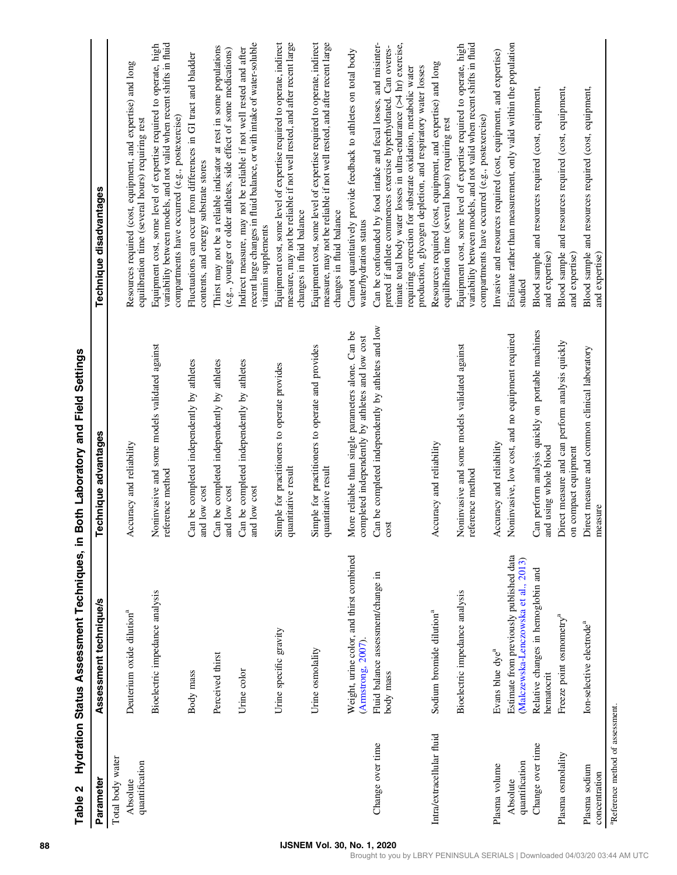| Parameter                                    | Assessment technique/s                                                          | Technique advantages                                                                                        | Technique disadvantages                                                                                                                                                                                                                                                                                                                        |
|----------------------------------------------|---------------------------------------------------------------------------------|-------------------------------------------------------------------------------------------------------------|------------------------------------------------------------------------------------------------------------------------------------------------------------------------------------------------------------------------------------------------------------------------------------------------------------------------------------------------|
| Total body water                             |                                                                                 |                                                                                                             |                                                                                                                                                                                                                                                                                                                                                |
| quantification<br>Absolute                   | Deuterium oxide dilution <sup>a</sup>                                           | Accuracy and reliability                                                                                    | Resources required (cost, equipment, and expertise) and long<br>equilibration time (several hours) requiring rest                                                                                                                                                                                                                              |
|                                              | Bioelectric impedance analysis                                                  | Noninvasive and some models validated against<br>reference method                                           | variability between models, and not valid when recent shifts in fluid<br>Equipment cost, some level of expertise required to operate, high<br>compartments have occurred (e.g., postexercise)                                                                                                                                                  |
|                                              | Body mass                                                                       | Can be completed independently by athletes<br>and low cost                                                  | Fluctuations can occur from differences in GI tract and bladder<br>contents, and energy substrate stores                                                                                                                                                                                                                                       |
|                                              | Perceived thirst                                                                | Can be completed independently by athletes<br>and low cost                                                  | Thirst may not be a reliable indicator at rest in some populations<br>(e.g., younger or older athletes, side effect of some medications)                                                                                                                                                                                                       |
|                                              | Urine color                                                                     | Can be completed independently by athletes<br>and low cost                                                  | recent large changes in fluid balance, or with intake of water-soluble<br>Indirect measure, may not be reliable if not well rested and after<br>vitamin supplements                                                                                                                                                                            |
|                                              | Urine specific gravity                                                          | Simple for practitioners to operate provides<br>quantitative result                                         | Equipment cost, some level of expertise required to operate, indirect<br>measure, may not be reliable if not well rested, and after recent large<br>changes in fluid balance                                                                                                                                                                   |
|                                              | Urine osmolality                                                                | Simple for practitioners to operate and provides<br>quantitative result                                     | Equipment cost, some level of expertise required to operate, indirect<br>measure, may not be reliable if not well rested, and after recent large<br>changes in fluid balance                                                                                                                                                                   |
|                                              | Weight, urine color, and thirst combined<br>(Armstrong, 2007).                  | lore reliable than single parameters alone. Can be<br>completed independently by athletes and low cost<br>Σ | Cannot quantitatively provide feedback to athletes on total body<br>water/hydration status                                                                                                                                                                                                                                                     |
| Change over time                             | Fluid balance assessment/change in<br>body mass                                 | Can be completed independently by athletes and low<br>cost                                                  | Can be confounded by food intake and fecal losses, and misinter-<br>timate total body water losses in ultra-endurance $($ >4 hr) exercise,<br>preted if athlete commences exercise hyperhydrated. Can overes-<br>production, glycogen depletion, and respiratory water losses<br>requiring correction for substrate oxidation, metabolic water |
| Intra/extracellular fluid                    | Sodium bromide dilution <sup>a</sup>                                            | Accuracy and reliability                                                                                    | Resources required (cost, equipment, and expertise) and long<br>equilibration time (several hours) requiring rest                                                                                                                                                                                                                              |
|                                              | Bioelectric impedance analysis                                                  | Noninvasive and some models validated against<br>reference method                                           | variability between models, and not valid when recent shifts in fluid<br>Equipment cost, some level of expertise required to operate, high<br>compartments have occurred (e.g., postexercise)                                                                                                                                                  |
| Plasma volume                                | Evans blue dye <sup>a</sup>                                                     | Accuracy and reliability                                                                                    | Invasive and resources required (cost, equipment, and expertise)                                                                                                                                                                                                                                                                               |
| quantification<br>Absolute                   | Estimate from previously published data<br>(Malczewska-Lenczowska et al., 2013) | Noninvasive, low cost, and no equipment required                                                            | Estimate rather than measurement, only valid within the population<br>studied                                                                                                                                                                                                                                                                  |
| Change over time                             | Relative changes in hemoglobin and<br>hematocrit                                | Can perform analysis quickly on portable machines<br>and using whole blood                                  | Blood sample and resources required (cost, equipment,<br>and expertise)                                                                                                                                                                                                                                                                        |
| Plasma osmolality                            | Freeze point osmometry <sup>a</sup>                                             | Direct measure and can perform analysis quickly<br>on compact equipment                                     | equipment,<br>Blood sample and resources required (cost,<br>and expertise)                                                                                                                                                                                                                                                                     |
| Plasma sodium<br>concentration               | Ion-selective electrode <sup>a</sup>                                            | Direct measure and common clinical laboratory<br>measure                                                    | Blood sample and resources required (cost, equipment,<br>and expertise)                                                                                                                                                                                                                                                                        |
| <sup>a</sup> Reference method of assessment. |                                                                                 |                                                                                                             |                                                                                                                                                                                                                                                                                                                                                |

Table 2 Hydration Status Assessment Techniques, in Both Laboratory and Field Settings Table 2 Hydration Status Assessment Techniques, in Both Laboratory and Field Settings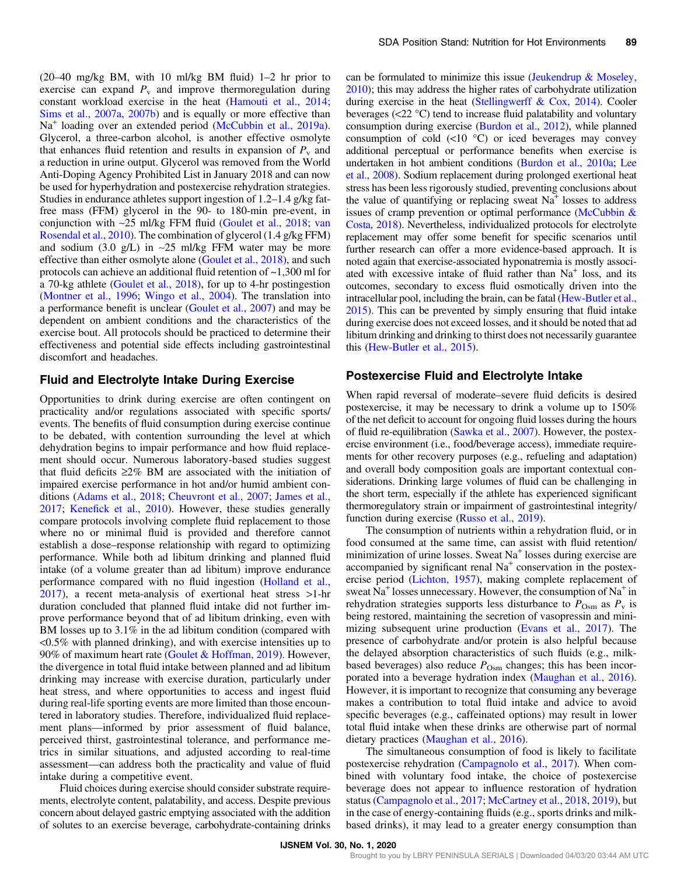$(20-40 \text{ mg/kg BM}, \text{ with } 10 \text{ ml/kg BM fluid})$  1–2 hr prior to exercise can expand  $P_v$  and improve thermoregulation during constant workload exercise in the heat (Hamouti et al., 2014; Sims et al., 2007a, 2007b) and is equally or more effective than Na<sup>+</sup> loading over an extended period (McCubbin et al., 2019a). Glycerol, a three-carbon alcohol, is another effective osmolyte that enhances fluid retention and results in expansion of  $P_v$  and a reduction in urine output. Glycerol was removed from the World Anti-Doping Agency Prohibited List in January 2018 and can now be used for hyperhydration and postexercise rehydration strategies. Studies in endurance athletes support ingestion of 1.2–1.4 g/kg fatfree mass (FFM) glycerol in the 90- to 180-min pre-event, in conjunction with ∼25 ml/kg FFM fluid (Goulet et al., 2018; van Rosendal et al., 2010). The combination of glycerol (1.4 g/kg FFM) and sodium (3.0 g/L) in ∼25 ml/kg FFM water may be more effective than either osmolyte alone (Goulet et al., 2018), and such protocols can achieve an additional fluid retention of ~1,300 ml for a 70-kg athlete (Goulet et al., 2018), for up to 4-hr postingestion (Montner et al., 1996; Wingo et al., 2004). The translation into a performance benefit is unclear (Goulet et al., 2007) and may be dependent on ambient conditions and the characteristics of the exercise bout. All protocols should be practiced to determine their effectiveness and potential side effects including gastrointestinal discomfort and headaches.

#### Fluid and Electrolyte Intake During Exercise

Opportunities to drink during exercise are often contingent on practicality and/or regulations associated with specific sports/ events. The benefits of fluid consumption during exercise continue to be debated, with contention surrounding the level at which dehydration begins to impair performance and how fluid replacement should occur. Numerous laboratory-based studies suggest that fluid deficits  $\geq 2\%$  BM are associated with the initiation of impaired exercise performance in hot and/or humid ambient conditions (Adams et al., 2018; Cheuvront et al., 2007; James et al., 2017; Kenefick et al., 2010). However, these studies generally compare protocols involving complete fluid replacement to those where no or minimal fluid is provided and therefore cannot establish a dose–response relationship with regard to optimizing performance. While both ad libitum drinking and planned fluid intake (of a volume greater than ad libitum) improve endurance performance compared with no fluid ingestion (Holland et al., 2017), a recent meta-analysis of exertional heat stress >1-hr duration concluded that planned fluid intake did not further improve performance beyond that of ad libitum drinking, even with BM losses up to 3.1% in the ad libitum condition (compared with <0.5% with planned drinking), and with exercise intensities up to 90% of maximum heart rate (Goulet & Hoffman, 2019). However, the divergence in total fluid intake between planned and ad libitum drinking may increase with exercise duration, particularly under heat stress, and where opportunities to access and ingest fluid during real-life sporting events are more limited than those encountered in laboratory studies. Therefore, individualized fluid replacement plans—informed by prior assessment of fluid balance, perceived thirst, gastrointestinal tolerance, and performance metrics in similar situations, and adjusted according to real-time assessment—can address both the practicality and value of fluid intake during a competitive event.

Fluid choices during exercise should consider substrate requirements, electrolyte content, palatability, and access. Despite previous concern about delayed gastric emptying associated with the addition of solutes to an exercise beverage, carbohydrate-containing drinks

can be formulated to minimize this issue (Jeukendrup & Moseley, 2010); this may address the higher rates of carbohydrate utilization during exercise in the heat (Stellingwerff & Cox, 2014). Cooler beverages (<22 °C) tend to increase fluid palatability and voluntary consumption during exercise (Burdon et al., 2012), while planned consumption of cold  $(\leq 10 \degree C)$  or iced beverages may convey additional perceptual or performance benefits when exercise is undertaken in hot ambient conditions (Burdon et al., 2010a; Lee et al., 2008). Sodium replacement during prolonged exertional heat stress has been less rigorously studied, preventing conclusions about the value of quantifying or replacing sweat  $Na<sup>+</sup>$  losses to address issues of cramp prevention or optimal performance (McCubbin & Costa, 2018). Nevertheless, individualized protocols for electrolyte replacement may offer some benefit for specific scenarios until further research can offer a more evidence-based approach. It is noted again that exercise-associated hyponatremia is mostly associated with excessive intake of fluid rather than  $Na<sup>+</sup>$  loss, and its outcomes, secondary to excess fluid osmotically driven into the intracellular pool, including the brain, can be fatal (Hew-Butler et al., 2015). This can be prevented by simply ensuring that fluid intake during exercise does not exceed losses, and it should be noted that ad libitum drinking and drinking to thirst does not necessarily guarantee this (Hew-Butler et al., 2015).

#### Postexercise Fluid and Electrolyte Intake

When rapid reversal of moderate–severe fluid deficits is desired postexercise, it may be necessary to drink a volume up to 150% of the net deficit to account for ongoing fluid losses during the hours of fluid re-equilibration (Sawka et al., 2007). However, the postexercise environment (i.e., food/beverage access), immediate requirements for other recovery purposes (e.g., refueling and adaptation) and overall body composition goals are important contextual considerations. Drinking large volumes of fluid can be challenging in the short term, especially if the athlete has experienced significant thermoregulatory strain or impairment of gastrointestinal integrity/ function during exercise (Russo et al., 2019).

The consumption of nutrients within a rehydration fluid, or in food consumed at the same time, can assist with fluid retention/ minimization of urine losses. Sweat  $Na<sup>+</sup>$  losses during exercise are accompanied by significant renal  $Na<sup>+</sup>$  conservation in the postexercise period (Lichton, 1957), making complete replacement of sweat  $Na<sup>+</sup>$  losses unnecessary. However, the consumption of  $Na<sup>+</sup>$  in rehydration strategies supports less disturbance to  $P_{\text{Osm}}$  as  $P_{\text{v}}$  is being restored, maintaining the secretion of vasopressin and minimizing subsequent urine production (Evans et al., 2017). The presence of carbohydrate and/or protein is also helpful because the delayed absorption characteristics of such fluids (e.g., milkbased beverages) also reduce  $P_{\text{Osm}}$  changes; this has been incorporated into a beverage hydration index (Maughan et al., 2016). However, it is important to recognize that consuming any beverage makes a contribution to total fluid intake and advice to avoid specific beverages (e.g., caffeinated options) may result in lower total fluid intake when these drinks are otherwise part of normal dietary practices (Maughan et al., 2016).

The simultaneous consumption of food is likely to facilitate postexercise rehydration (Campagnolo et al., 2017). When combined with voluntary food intake, the choice of postexercise beverage does not appear to influence restoration of hydration status (Campagnolo et al., 2017; McCartney et al., 2018, 2019), but in the case of energy-containing fluids (e.g., sports drinks and milkbased drinks), it may lead to a greater energy consumption than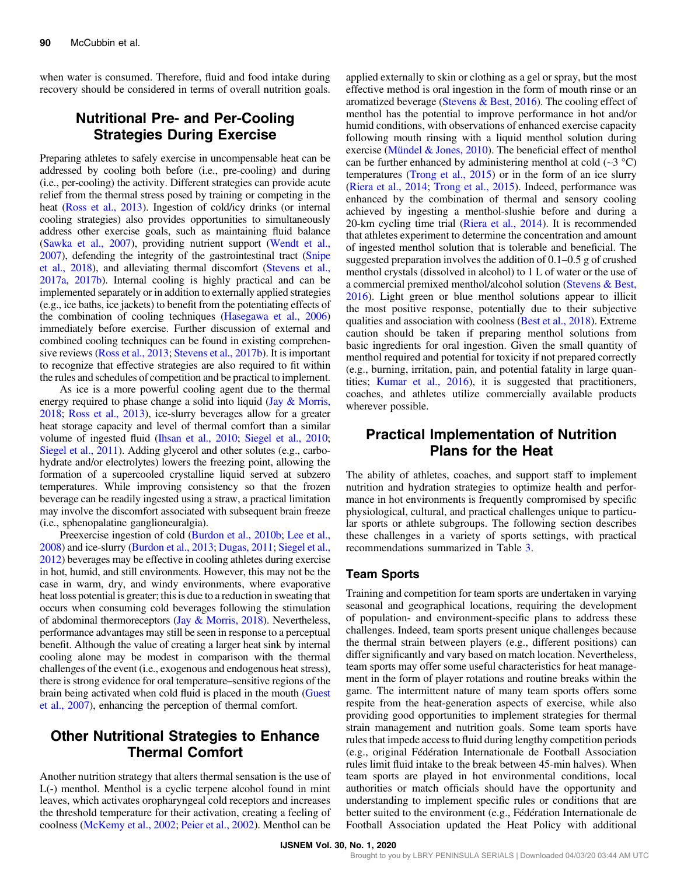when water is consumed. Therefore, fluid and food intake during recovery should be considered in terms of overall nutrition goals.

## Nutritional Pre- and Per-Cooling Strategies During Exercise

Preparing athletes to safely exercise in uncompensable heat can be addressed by cooling both before (i.e., pre-cooling) and during (i.e., per-cooling) the activity. Different strategies can provide acute relief from the thermal stress posed by training or competing in the heat (Ross et al., 2013). Ingestion of cold/icy drinks (or internal cooling strategies) also provides opportunities to simultaneously address other exercise goals, such as maintaining fluid balance (Sawka et al., 2007), providing nutrient support (Wendt et al., 2007), defending the integrity of the gastrointestinal tract (Snipe et al., 2018), and alleviating thermal discomfort (Stevens et al., 2017a, 2017b). Internal cooling is highly practical and can be implemented separately or in addition to externally applied strategies (e.g., ice baths, ice jackets) to benefit from the potentiating effects of the combination of cooling techniques (Hasegawa et al., 2006) immediately before exercise. Further discussion of external and combined cooling techniques can be found in existing comprehensive reviews (Ross et al., 2013; Stevens et al., 2017b). It is important to recognize that effective strategies are also required to fit within the rules and schedules of competition and be practical to implement.

As ice is a more powerful cooling agent due to the thermal energy required to phase change a solid into liquid (Jay & Morris, 2018; Ross et al., 2013), ice-slurry beverages allow for a greater heat storage capacity and level of thermal comfort than a similar volume of ingested fluid (Ihsan et al., 2010; Siegel et al., 2010; Siegel et al., 2011). Adding glycerol and other solutes (e.g., carbohydrate and/or electrolytes) lowers the freezing point, allowing the formation of a supercooled crystalline liquid served at subzero temperatures. While improving consistency so that the frozen beverage can be readily ingested using a straw, a practical limitation may involve the discomfort associated with subsequent brain freeze (i.e., sphenopalatine ganglioneuralgia).

Preexercise ingestion of cold (Burdon et al., 2010b; Lee et al., 2008) and ice-slurry (Burdon et al., 2013; Dugas, 2011; Siegel et al., 2012) beverages may be effective in cooling athletes during exercise in hot, humid, and still environments. However, this may not be the case in warm, dry, and windy environments, where evaporative heat loss potential is greater; this is due to a reduction in sweating that occurs when consuming cold beverages following the stimulation of abdominal thermoreceptors (Jay & Morris, 2018). Nevertheless, performance advantages may still be seen in response to a perceptual benefit. Although the value of creating a larger heat sink by internal cooling alone may be modest in comparison with the thermal challenges of the event (i.e., exogenous and endogenous heat stress), there is strong evidence for oral temperature–sensitive regions of the brain being activated when cold fluid is placed in the mouth (Guest et al., 2007), enhancing the perception of thermal comfort.

## Other Nutritional Strategies to Enhance Thermal Comfort

Another nutrition strategy that alters thermal sensation is the use of L(-) menthol. Menthol is a cyclic terpene alcohol found in mint leaves, which activates oropharyngeal cold receptors and increases the threshold temperature for their activation, creating a feeling of coolness (McKemy et al., 2002; Peier et al., 2002). Menthol can be applied externally to skin or clothing as a gel or spray, but the most effective method is oral ingestion in the form of mouth rinse or an aromatized beverage (Stevens & Best, 2016). The cooling effect of menthol has the potential to improve performance in hot and/or humid conditions, with observations of enhanced exercise capacity following mouth rinsing with a liquid menthol solution during exercise (Mündel & Jones, 2010). The beneficial effect of menthol can be further enhanced by administering menthol at cold (∼3 °C) temperatures (Trong et al., 2015) or in the form of an ice slurry (Riera et al., 2014; Trong et al., 2015). Indeed, performance was enhanced by the combination of thermal and sensory cooling achieved by ingesting a menthol-slushie before and during a 20-km cycling time trial (Riera et al., 2014). It is recommended that athletes experiment to determine the concentration and amount of ingested menthol solution that is tolerable and beneficial. The suggested preparation involves the addition of 0.1–0.5 g of crushed menthol crystals (dissolved in alcohol) to 1 L of water or the use of a commercial premixed menthol/alcohol solution (Stevens & Best, 2016). Light green or blue menthol solutions appear to illicit the most positive response, potentially due to their subjective qualities and association with coolness (Best et al., 2018). Extreme caution should be taken if preparing menthol solutions from basic ingredients for oral ingestion. Given the small quantity of menthol required and potential for toxicity if not prepared correctly (e.g., burning, irritation, pain, and potential fatality in large quantities; Kumar et al., 2016), it is suggested that practitioners, coaches, and athletes utilize commercially available products wherever possible.

## Practical Implementation of Nutrition Plans for the Heat

The ability of athletes, coaches, and support staff to implement nutrition and hydration strategies to optimize health and performance in hot environments is frequently compromised by specific physiological, cultural, and practical challenges unique to particular sports or athlete subgroups. The following section describes these challenges in a variety of sports settings, with practical recommendations summarized in Table 3.

#### Team Sports

Training and competition for team sports are undertaken in varying seasonal and geographical locations, requiring the development of population- and environment-specific plans to address these challenges. Indeed, team sports present unique challenges because the thermal strain between players (e.g., different positions) can differ significantly and vary based on match location. Nevertheless, team sports may offer some useful characteristics for heat management in the form of player rotations and routine breaks within the game. The intermittent nature of many team sports offers some respite from the heat-generation aspects of exercise, while also providing good opportunities to implement strategies for thermal strain management and nutrition goals. Some team sports have rules that impede access to fluid during lengthy competition periods (e.g., original Fédération Internationale de Football Association rules limit fluid intake to the break between 45-min halves). When team sports are played in hot environmental conditions, local authorities or match officials should have the opportunity and understanding to implement specific rules or conditions that are better suited to the environment (e.g., Fédération Internationale de Football Association updated the Heat Policy with additional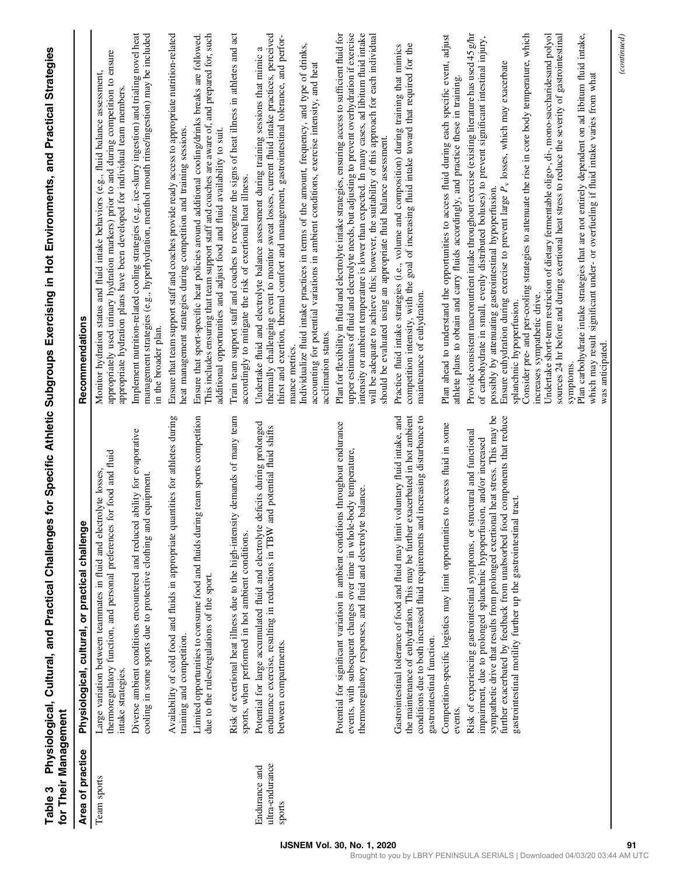| for Their Management                       |                                                                                                                                                                                                                                                                                                                                                                                                    |                                                                                                                                                                                                                                                                                                                                                                                                                                                                                            |
|--------------------------------------------|----------------------------------------------------------------------------------------------------------------------------------------------------------------------------------------------------------------------------------------------------------------------------------------------------------------------------------------------------------------------------------------------------|--------------------------------------------------------------------------------------------------------------------------------------------------------------------------------------------------------------------------------------------------------------------------------------------------------------------------------------------------------------------------------------------------------------------------------------------------------------------------------------------|
| Area of practice                           | Physiological, cultural, or practical challenge                                                                                                                                                                                                                                                                                                                                                    | Recommendations                                                                                                                                                                                                                                                                                                                                                                                                                                                                            |
| Team sports                                | thermoregulatory function, and personal preferences for food and fluid<br>Large variation between teammates in fluid and electrolyte losses,<br>intake strategies.                                                                                                                                                                                                                                 | appropriately used urinary hydration markers) prior to and during competition to ensure<br>Monitor hydration status and fluid intake behaviors (e.g., fluid balance assessment,<br>appropriate hydration plans have been developed for individual team members                                                                                                                                                                                                                             |
|                                            | Diverse ambient conditions encountered and reduced ability for evaporative<br>equipment.<br>cooling in some sports due to protective clothing and                                                                                                                                                                                                                                                  | Implement nutrition-related cooling strategies (e.g., ice-slurry ingestion) and trialing novel heat<br>management strategies (e.g., hyperhydration, menthol mouth rinse/ingestion) may be included<br>in the broader plan.                                                                                                                                                                                                                                                                 |
|                                            | Availability of cold food and fluids in appropriate quantities for athletes during<br>training and competition.                                                                                                                                                                                                                                                                                    | Ensure that team support staff and coaches provide ready access to appropriate nutrition-related<br>heat management strategies during competition and training sessions.                                                                                                                                                                                                                                                                                                                   |
|                                            | Limited opportunities to consume food and fluids during team sports competition<br>due to the rules/regulations of the sport.                                                                                                                                                                                                                                                                      | This includes ensuring that team support staff and coaches are aware of, and prepared for, such<br>Ensure that sport-specific heat policies around additional cooling/drinks breaks are followed.<br>additional opportunities and adjust food and fluid availability to suit.                                                                                                                                                                                                              |
|                                            | demands of many team<br>Risk of exertional heat illness due to the high-intensity<br>sports, when performed in hot ambient conditions.                                                                                                                                                                                                                                                             | Train team support staff and coaches to recognize the signs of heat illness in athletes and act<br>accordingly to mitigate the risk of exertional heat illness.                                                                                                                                                                                                                                                                                                                            |
| ultra-endurance<br>Endurance and<br>sports | Potential for large accumulated fluid and electrolyte deficits during prolonged<br>d potential fluid shifts<br>endurance exercise, resulting in reductions in TBW an<br>between compartments.                                                                                                                                                                                                      | thermally challenging event to monitor sweat losses, current fluid intake practices, perceived<br>thirst and exertion, thermal comfort and management, gastrointestinal tolerance, and perfor-<br>Undertake fluid and electrolyte balance assessment during training sessions that mimic a                                                                                                                                                                                                 |
|                                            |                                                                                                                                                                                                                                                                                                                                                                                                    | Individualize fluid intake practices in terms of the amount, frequency, and type of drinks,<br>accounting for potential variations in ambient conditions, exercise intensity, and heat<br>acclimation status.<br>mance metrics.                                                                                                                                                                                                                                                            |
|                                            | Potential for significant variation in ambient conditions throughout endurance<br>events, with subsequent changes over time in whole-body temperature,<br>thermoregulatory responses, and fluid and electrolyte balance.                                                                                                                                                                           | Plan for flexibility in fluid and electrolyte intake strategies, ensuring access to sufficient fluid for<br>upper estimates of fluid and electrolyte needs, but adjusting to prevent overhydration if exercise<br>intensity or ambient temperature is lower than expected. In many cases, ad libitum fluid intake<br>will be adequate to achieve this; however, the suitability of this approach for each individual<br>should be evaluated using an appropriate fluid balance assessment. |
|                                            | acerbated in hot ambient<br>Gastrointestinal tolerance of food and fluid may limit voluntary fluid intake, and<br>increasing disturbance to<br>the maintenance of euhydration. This may be further ex<br>conditions due to both increased fluid requirements and<br>gastrointestinal function.                                                                                                     | competition intensity, with the goal of increasing fluid intake toward that required for the<br>Practice fluid intake strategies (i.e., volume and composition) during training that mimics<br>maintenance of euhydration.                                                                                                                                                                                                                                                                 |
|                                            | to access fluid in some<br>Competition-specific logistics may limit opportunities<br>events.                                                                                                                                                                                                                                                                                                       | Plan ahead to understand the opportunities to access fluid during each specific event, adjust<br>athlete plans to obtain and carry fluids accordingly, and practice these in training.                                                                                                                                                                                                                                                                                                     |
|                                            | sympathetic drive that results from prolonged exertional heat stress. This may be<br>further exacerbated by feedback from unabsorbed food components that reduce<br>Risk of experiencing gastrointestinal symptoms, or structural and functional<br>impairment, due to prolonged splanchnic hypoperfusion, and/or increased<br>tract.<br>gastrointestinal motility further up the gastrointestinal | Provide consistent macronutrient intake throughout exercise (existing literature has used 45 g/hr<br>of carbohydrate in small, evenly distributed boluses) to prevent significant intestinal injury,<br>Ensure euhydration during exercise to prevent large $P_{\rm v}$ losses, which may exacerbate<br>possibly by attenuating gastrointestinal hypoperfusion.<br>splanchnic hypoperfusion.                                                                                               |
|                                            |                                                                                                                                                                                                                                                                                                                                                                                                    | Consider pre- and per-cooling strategies to attenuate the rise in core body temperature, which<br>Undertake short-term restriction of dietary fermentable oligo-, di-, mono-saccharidesand polyol<br>sources 24 hr before and during exertional heat stress to reduce the severity of gastrointestinal<br>increases sympathetic drive.                                                                                                                                                     |
|                                            |                                                                                                                                                                                                                                                                                                                                                                                                    | Plan carbohydrate intake strategies that are not entirely dependent on ad libitum fluid intake,<br>which may result significant under- or overfueling if fluid intake varies from what<br>was anticipated.<br>symptoms.                                                                                                                                                                                                                                                                    |
|                                            |                                                                                                                                                                                                                                                                                                                                                                                                    | (continued)                                                                                                                                                                                                                                                                                                                                                                                                                                                                                |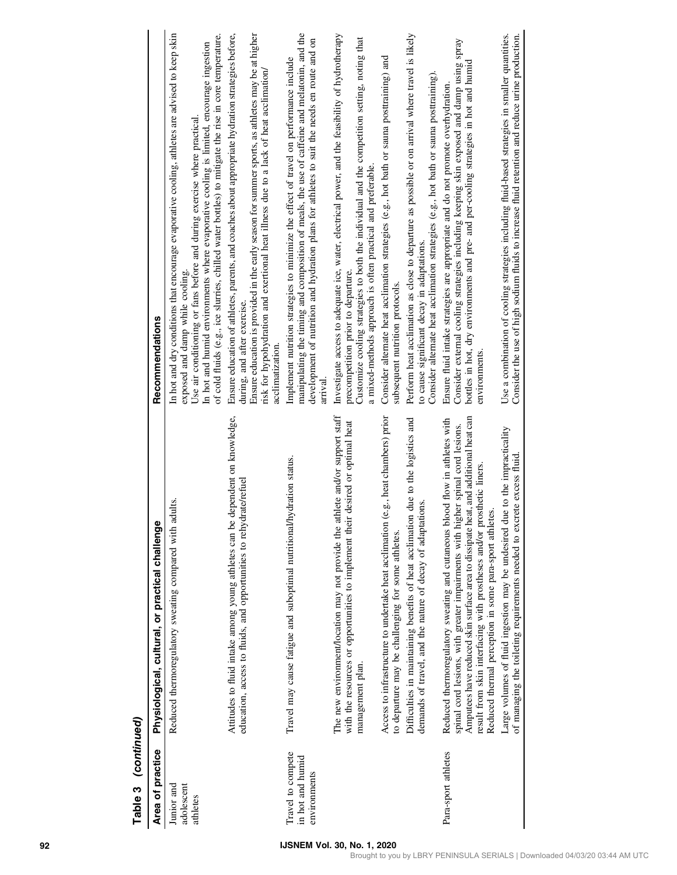| Table 3 (continued)                                   |                                                                                                                                                                                                                                                                                                                                                                                         |                                                                                                                                                                                                                                                                                                                                                                                                                  |
|-------------------------------------------------------|-----------------------------------------------------------------------------------------------------------------------------------------------------------------------------------------------------------------------------------------------------------------------------------------------------------------------------------------------------------------------------------------|------------------------------------------------------------------------------------------------------------------------------------------------------------------------------------------------------------------------------------------------------------------------------------------------------------------------------------------------------------------------------------------------------------------|
| Area of practice                                      | Physiological, cultural, or practical challenge                                                                                                                                                                                                                                                                                                                                         | Recommendations                                                                                                                                                                                                                                                                                                                                                                                                  |
| Junior and<br>adolescent<br>athletes                  | Reduced thermoregulatory sweating compared with adults.                                                                                                                                                                                                                                                                                                                                 | In hot and dry conditions that encourage evaporative cooling, athletes are advised to keep skin<br>of cold fluids (e.g., ice slurries, chilled water bottles) to mitigate the rise in core temperature.<br>In hot and humid environments where evaporative cooling is limited, encourage ingestion<br>Use air conditioning or fans before and during exercise where practical<br>exposed and damp while cooling. |
|                                                       | Attitudes to fluid intake among young athletes can be dependent on knowledge,<br>education, access to fluids, and opportunities to rehydrate/refuel                                                                                                                                                                                                                                     | Ensure education of athletes, parents, and coaches about appropriate hydration strategies before,<br>Ensure education is provided in the early season for summer sports, as athletes may be at higher<br>risk for hypohydration and exertional heat illness due to a lack of heat acclimation/<br>during, and after exercise.<br>acclimatization.                                                                |
| Travel to compete<br>in hot and humid<br>environments | Travel may cause fatigue and suboptimal nutritional/hydration status.                                                                                                                                                                                                                                                                                                                   | manipulating the timing and composition of meals, the use of caffeine and melatonin, and the<br>development of nutrition and hydration plans for athletes to suit the needs en route and on<br>Implement nutrition strategies to minimize the effect of travel on performance include<br>arrival                                                                                                                 |
|                                                       | The new environment/location may not provide the athlete and/or support staff<br>desired or optimal heat<br>with the resources or opportunities to implement their<br>management plan.                                                                                                                                                                                                  | Investigate access to adequate ice, water, electrical power, and the feasibility of hydrotherapy<br>Customize cooling strategies to both the individual and the competition setting, noting that<br>a mixed-methods approach is often practical and preferable.<br>precompetition prior to departure.                                                                                                            |
|                                                       | .g., heat chambers) prior<br>Access to infrastructure to undertake heat acclimation (e<br>to departure may be challenging for some athletes.                                                                                                                                                                                                                                            | Consider alternate heat acclimation strategies (e.g., hot bath or sauna posttraining) and<br>subsequent nutrition protocols.                                                                                                                                                                                                                                                                                     |
|                                                       | due to the logistics and<br>demands of travel, and the nature of decay of adaptations.<br>Difficulties in maintaining benefits of heat acclimation                                                                                                                                                                                                                                      | Perform heat acclimation as close to departure as possible or on arrival where travel is likely<br>Consider alternate heat acclimation strategies (e.g., hot bath or sauna posttraining).<br>to cause significant decay in adaptations.                                                                                                                                                                          |
| Para-sport athletes                                   | Amputees have reduced skin surface area to dissipate heat, and additional heat can<br>Reduced thermoregulatory sweating and cutaneous blood flow in athletes with<br>spinal cord lesions, with greater impairments with higher spinal cord lesions.<br>result from skin interfacing with prostheses and/or prosthetic liners.<br>Reduced thermal perception in some para-sport athletes | Consider external cooling strategies including keeping skin exposed and damp using spray<br>bottles in hot, dry environments and pre- and per-cooling strategies in hot and humid<br>Ensure fluid intake strategies are appropriate and do not promote overhydration.<br>environments.                                                                                                                           |
|                                                       | Large volumes of fluid ingestion may be undesired due to the impracticality<br>of managing the toileting requirements needed to excrete excess fluid.                                                                                                                                                                                                                                   | Use a combination of cooling strategies including fluid-based strategies in smaller quantities.<br>Consider the use of high sodium fluids to increase fluid retention and reduce urine production.                                                                                                                                                                                                               |

# £.  $\ddot{\phantom{0}}$  $\overline{\phantom{a}}$ Table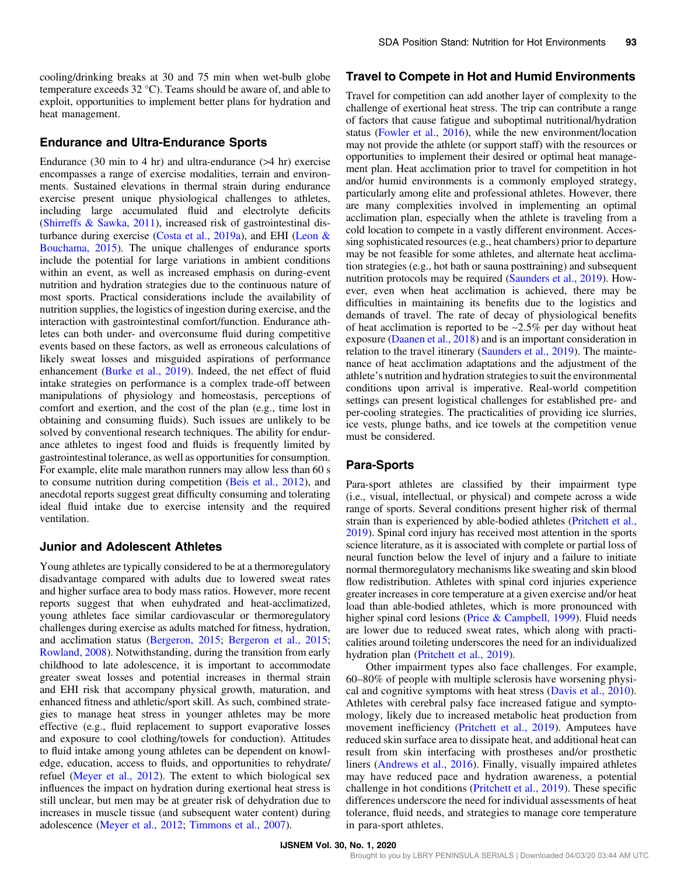cooling/drinking breaks at 30 and 75 min when wet-bulb globe temperature exceeds 32 °C). Teams should be aware of, and able to exploit, opportunities to implement better plans for hydration and heat management.

#### Endurance and Ultra-Endurance Sports

Endurance (30 min to 4 hr) and ultra-endurance (>4 hr) exercise encompasses a range of exercise modalities, terrain and environments. Sustained elevations in thermal strain during endurance exercise present unique physiological challenges to athletes, including large accumulated fluid and electrolyte deficits (Shirreffs & Sawka, 2011), increased risk of gastrointestinal disturbance during exercise (Costa et al., 2019a), and EHI (Leon & Bouchama, 2015). The unique challenges of endurance sports include the potential for large variations in ambient conditions within an event, as well as increased emphasis on during-event nutrition and hydration strategies due to the continuous nature of most sports. Practical considerations include the availability of nutrition supplies, the logistics of ingestion during exercise, and the interaction with gastrointestinal comfort/function. Endurance athletes can both under- and overconsume fluid during competitive events based on these factors, as well as erroneous calculations of likely sweat losses and misguided aspirations of performance enhancement (Burke et al., 2019). Indeed, the net effect of fluid intake strategies on performance is a complex trade-off between manipulations of physiology and homeostasis, perceptions of comfort and exertion, and the cost of the plan (e.g., time lost in obtaining and consuming fluids). Such issues are unlikely to be solved by conventional research techniques. The ability for endurance athletes to ingest food and fluids is frequently limited by gastrointestinal tolerance, as well as opportunities for consumption. For example, elite male marathon runners may allow less than 60 s to consume nutrition during competition (Beis et al., 2012), and anecdotal reports suggest great difficulty consuming and tolerating ideal fluid intake due to exercise intensity and the required ventilation.

#### Junior and Adolescent Athletes

Young athletes are typically considered to be at a thermoregulatory disadvantage compared with adults due to lowered sweat rates and higher surface area to body mass ratios. However, more recent reports suggest that when euhydrated and heat-acclimatized, young athletes face similar cardiovascular or thermoregulatory challenges during exercise as adults matched for fitness, hydration, and acclimation status (Bergeron, 2015; Bergeron et al., 2015; Rowland, 2008). Notwithstanding, during the transition from early childhood to late adolescence, it is important to accommodate greater sweat losses and potential increases in thermal strain and EHI risk that accompany physical growth, maturation, and enhanced fitness and athletic/sport skill. As such, combined strategies to manage heat stress in younger athletes may be more effective (e.g., fluid replacement to support evaporative losses and exposure to cool clothing/towels for conduction). Attitudes to fluid intake among young athletes can be dependent on knowledge, education, access to fluids, and opportunities to rehydrate/ refuel (Meyer et al., 2012). The extent to which biological sex influences the impact on hydration during exertional heat stress is still unclear, but men may be at greater risk of dehydration due to increases in muscle tissue (and subsequent water content) during adolescence (Meyer et al., 2012; Timmons et al., 2007).

#### Travel to Compete in Hot and Humid Environments

Travel for competition can add another layer of complexity to the challenge of exertional heat stress. The trip can contribute a range of factors that cause fatigue and suboptimal nutritional/hydration status (Fowler et al., 2016), while the new environment/location may not provide the athlete (or support staff) with the resources or opportunities to implement their desired or optimal heat management plan. Heat acclimation prior to travel for competition in hot and/or humid environments is a commonly employed strategy, particularly among elite and professional athletes. However, there are many complexities involved in implementing an optimal acclimation plan, especially when the athlete is traveling from a cold location to compete in a vastly different environment. Accessing sophisticated resources (e.g., heat chambers) prior to departure may be not feasible for some athletes, and alternate heat acclimation strategies (e.g., hot bath or sauna posttraining) and subsequent nutrition protocols may be required (Saunders et al., 2019). However, even when heat acclimation is achieved, there may be difficulties in maintaining its benefits due to the logistics and demands of travel. The rate of decay of physiological benefits of heat acclimation is reported to be ∼2.5% per day without heat exposure (Daanen et al., 2018) and is an important consideration in relation to the travel itinerary (Saunders et al., 2019). The maintenance of heat acclimation adaptations and the adjustment of the athlete's nutrition and hydration strategies to suit the environmental conditions upon arrival is imperative. Real-world competition settings can present logistical challenges for established pre- and per-cooling strategies. The practicalities of providing ice slurries, ice vests, plunge baths, and ice towels at the competition venue must be considered.

### Para-Sports

Para-sport athletes are classified by their impairment type (i.e., visual, intellectual, or physical) and compete across a wide range of sports. Several conditions present higher risk of thermal strain than is experienced by able-bodied athletes (Pritchett et al., 2019). Spinal cord injury has received most attention in the sports science literature, as it is associated with complete or partial loss of neural function below the level of injury and a failure to initiate normal thermoregulatory mechanisms like sweating and skin blood flow redistribution. Athletes with spinal cord injuries experience greater increases in core temperature at a given exercise and/or heat load than able-bodied athletes, which is more pronounced with higher spinal cord lesions (Price & Campbell, 1999). Fluid needs are lower due to reduced sweat rates, which along with practicalities around toileting underscores the need for an individualized hydration plan (Pritchett et al., 2019).

Other impairment types also face challenges. For example, 60–80% of people with multiple sclerosis have worsening physical and cognitive symptoms with heat stress (Davis et al., 2010). Athletes with cerebral palsy face increased fatigue and symptomology, likely due to increased metabolic heat production from movement inefficiency (Pritchett et al., 2019). Amputees have reduced skin surface area to dissipate heat, and additional heat can result from skin interfacing with prostheses and/or prosthetic liners (Andrews et al., 2016). Finally, visually impaired athletes may have reduced pace and hydration awareness, a potential challenge in hot conditions (Pritchett et al., 2019). These specific differences underscore the need for individual assessments of heat tolerance, fluid needs, and strategies to manage core temperature in para-sport athletes.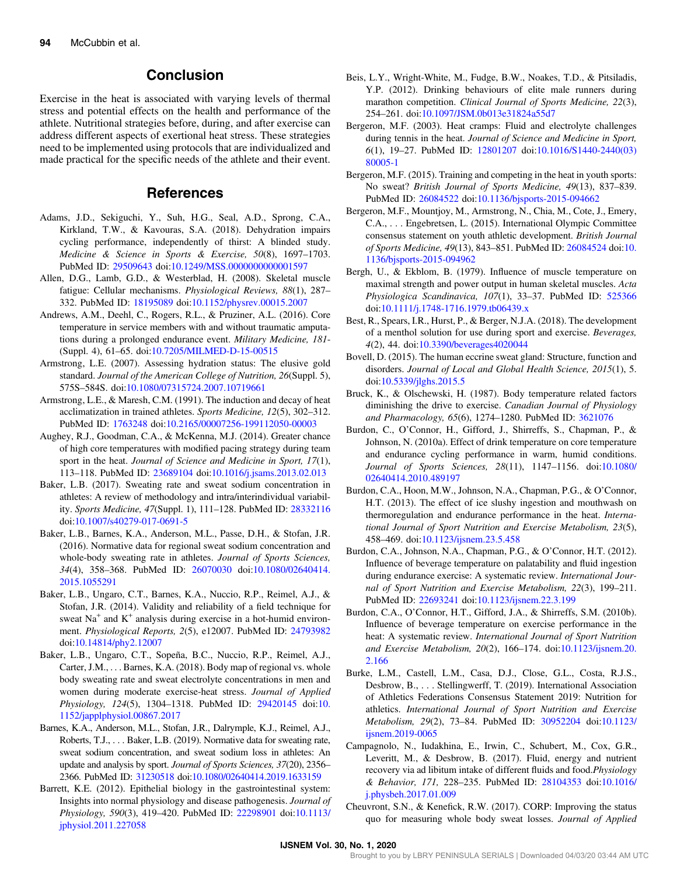## Conclusion

Exercise in the heat is associated with varying levels of thermal stress and potential effects on the health and performance of the athlete. Nutritional strategies before, during, and after exercise can address different aspects of exertional heat stress. These strategies need to be implemented using protocols that are individualized and made practical for the specific needs of the athlete and their event.

### References

- Adams, J.D., Sekiguchi, Y., Suh, H.G., Seal, A.D., Sprong, C.A., Kirkland, T.W., & Kavouras, S.A. (2018). Dehydration impairs cycling performance, independently of thirst: A blinded study. Medicine & Science in Sports & Exercise, 50(8), 1697–1703. PubMed ID: 29509643 doi:10.1249/MSS.0000000000001597
- Allen, D.G., Lamb, G.D., & Westerblad, H. (2008). Skeletal muscle fatigue: Cellular mechanisms. Physiological Reviews, 88(1), 287– 332. PubMed ID: 18195089 doi:10.1152/physrev.00015.2007
- Andrews, A.M., Deehl, C., Rogers, R.L., & Pruziner, A.L. (2016). Core temperature in service members with and without traumatic amputations during a prolonged endurance event. Military Medicine, 181- (Suppl. 4), 61–65. doi:10.7205/MILMED-D-15-00515
- Armstrong, L.E. (2007). Assessing hydration status: The elusive gold standard. Journal of the American College of Nutrition, 26(Suppl. 5), 575S–584S. doi:10.1080/07315724.2007.10719661
- Armstrong, L.E., & Maresh, C.M. (1991). The induction and decay of heat acclimatization in trained athletes. Sports Medicine, 12(5), 302–312. PubMed ID: 1763248 doi:10.2165/00007256-199112050-00003
- Aughey, R.J., Goodman, C.A., & McKenna, M.J. (2014). Greater chance of high core temperatures with modified pacing strategy during team sport in the heat. Journal of Science and Medicine in Sport, 17(1), 113–118. PubMed ID: 23689104 doi:10.1016/j.jsams.2013.02.013
- Baker, L.B. (2017). Sweating rate and sweat sodium concentration in athletes: A review of methodology and intra/interindividual variability. Sports Medicine, 47(Suppl. 1), 111–128. PubMed ID: 28332116 doi:10.1007/s40279-017-0691-5
- Baker, L.B., Barnes, K.A., Anderson, M.L., Passe, D.H., & Stofan, J.R. (2016). Normative data for regional sweat sodium concentration and whole-body sweating rate in athletes. Journal of Sports Sciences, 34(4), 358–368. PubMed ID: 26070030 doi:10.1080/02640414. 2015.1055291
- Baker, L.B., Ungaro, C.T., Barnes, K.A., Nuccio, R.P., Reimel, A.J., & Stofan, J.R. (2014). Validity and reliability of a field technique for sweat  $Na<sup>+</sup>$  and  $K<sup>+</sup>$  analysis during exercise in a hot-humid environment. Physiological Reports, 2(5), e12007. PubMed ID: 24793982 doi:10.14814/phy2.12007
- Baker, L.B., Ungaro, C.T., Sopeña, B.C., Nuccio, R.P., Reimel, A.J., Carter, J.M., . . . Barnes, K.A. (2018). Body map of regional vs. whole body sweating rate and sweat electrolyte concentrations in men and women during moderate exercise-heat stress. Journal of Applied Physiology, 124(5), 1304–1318. PubMed ID: 29420145 doi:10. 1152/japplphysiol.00867.2017
- Barnes, K.A., Anderson, M.L., Stofan, J.R., Dalrymple, K.J., Reimel, A.J., Roberts, T.J., . . . Baker, L.B. (2019). Normative data for sweating rate, sweat sodium concentration, and sweat sodium loss in athletes: An update and analysis by sport. Journal of Sports Sciences, 37(20), 2356– 2366. PubMed ID: 31230518 doi:10.1080/02640414.2019.1633159
- Barrett, K.E. (2012). Epithelial biology in the gastrointestinal system: Insights into normal physiology and disease pathogenesis. Journal of Physiology, 590(3), 419–420. PubMed ID: 22298901 doi:10.1113/ jphysiol.2011.227058
- Beis, L.Y., Wright-White, M., Fudge, B.W., Noakes, T.D., & Pitsiladis, Y.P. (2012). Drinking behaviours of elite male runners during marathon competition. Clinical Journal of Sports Medicine, 22(3), 254–261. doi:10.1097/JSM.0b013e31824a55d7
- Bergeron, M.F. (2003). Heat cramps: Fluid and electrolyte challenges during tennis in the heat. Journal of Science and Medicine in Sport, 6(1), 19–27. PubMed ID: 12801207 doi:10.1016/S1440-2440(03) 80005-1
- Bergeron, M.F. (2015). Training and competing in the heat in youth sports: No sweat? British Journal of Sports Medicine, 49(13), 837–839. PubMed ID: 26084522 doi:10.1136/bjsports-2015-094662
- Bergeron, M.F., Mountjoy, M., Armstrong, N., Chia, M., Cote, J., Emery, C.A., . . . Engebretsen, L. (2015). International Olympic Committee consensus statement on youth athletic development. British Journal of Sports Medicine, 49(13), 843–851. PubMed ID: 26084524 doi:10. 1136/bjsports-2015-094962
- Bergh, U., & Ekblom, B. (1979). Influence of muscle temperature on maximal strength and power output in human skeletal muscles. Acta Physiologica Scandinavica, 107(1), 33–37. PubMed ID: 525366 doi:10.1111/j.1748-1716.1979.tb06439.x
- Best, R., Spears, I.R., Hurst, P., & Berger, N.J.A. (2018). The development of a menthol solution for use during sport and exercise. Beverages, 4(2), 44. doi:10.3390/beverages4020044
- Bovell, D. (2015). The human eccrine sweat gland: Structure, function and disorders. Journal of Local and Global Health Science, 2015(1), 5. doi:10.5339/jlghs.2015.5
- Bruck, K., & Olschewski, H. (1987). Body temperature related factors diminishing the drive to exercise. Canadian Journal of Physiology and Pharmacology, 65(6), 1274–1280. PubMed ID: 3621076
- Burdon, C., O'Connor, H., Gifford, J., Shirreffs, S., Chapman, P., & Johnson, N. (2010a). Effect of drink temperature on core temperature and endurance cycling performance in warm, humid conditions. Journal of Sports Sciences, 28(11), 1147–1156. doi:10.1080/ 02640414.2010.489197
- Burdon, C.A., Hoon, M.W., Johnson, N.A., Chapman, P.G., & O'Connor, H.T. (2013). The effect of ice slushy ingestion and mouthwash on thermoregulation and endurance performance in the heat. International Journal of Sport Nutrition and Exercise Metabolism, 23(5), 458–469. doi:10.1123/ijsnem.23.5.458
- Burdon, C.A., Johnson, N.A., Chapman, P.G., & O'Connor, H.T. (2012). Influence of beverage temperature on palatability and fluid ingestion during endurance exercise: A systematic review. International Journal of Sport Nutrition and Exercise Metabolism, 22(3), 199–211. PubMed ID: 22693241 doi:10.1123/ijsnem.22.3.199
- Burdon, C.A., O'Connor, H.T., Gifford, J.A., & Shirreffs, S.M. (2010b). Influence of beverage temperature on exercise performance in the heat: A systematic review. International Journal of Sport Nutrition and Exercise Metabolism, 20(2), 166–174. doi:10.1123/ijsnem.20. 2.166
- Burke, L.M., Castell, L.M., Casa, D.J., Close, G.L., Costa, R.J.S., Desbrow, B., . . . Stellingwerff, T. (2019). International Association of Athletics Federations Consensus Statement 2019: Nutrition for athletics. International Journal of Sport Nutrition and Exercise Metabolism, 29(2), 73–84. PubMed ID: 30952204 doi:10.1123/ ijsnem.2019-0065
- Campagnolo, N., Iudakhina, E., Irwin, C., Schubert, M., Cox, G.R., Leveritt, M., & Desbrow, B. (2017). Fluid, energy and nutrient recovery via ad libitum intake of different fluids and food.Physiology & Behavior, 171, 228–235. PubMed ID: 28104353 doi:10.1016/ j.physbeh.2017.01.009
- Cheuvront, S.N., & Kenefick, R.W. (2017). CORP: Improving the status quo for measuring whole body sweat losses. Journal of Applied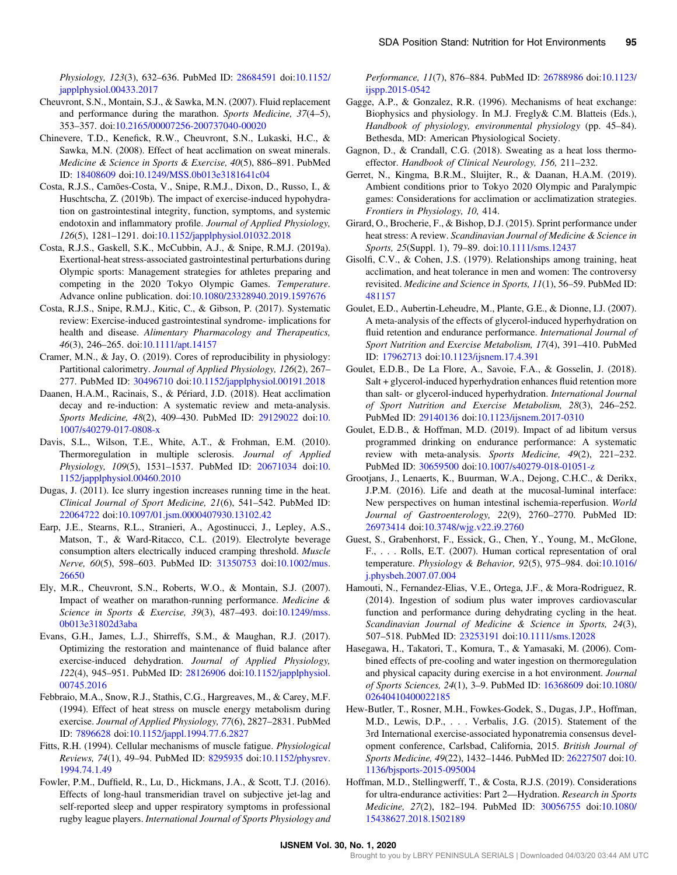Physiology, 123(3), 632–636. PubMed ID: 28684591 doi:10.1152/ japplphysiol.00433.2017

- Cheuvront, S.N., Montain, S.J., & Sawka, M.N. (2007). Fluid replacement and performance during the marathon. Sports Medicine, 37(4–5), 353–357. doi:10.2165/00007256-200737040-00020
- Chinevere, T.D., Kenefick, R.W., Cheuvront, S.N., Lukaski, H.C., & Sawka, M.N. (2008). Effect of heat acclimation on sweat minerals. Medicine & Science in Sports & Exercise, 40(5), 886–891. PubMed ID: 18408609 doi:10.1249/MSS.0b013e3181641c04
- Costa, R.J.S., Camões-Costa, V., Snipe, R.M.J., Dixon, D., Russo, I., & Huschtscha, Z. (2019b). The impact of exercise-induced hypohydration on gastrointestinal integrity, function, symptoms, and systemic endotoxin and inflammatory profile. Journal of Applied Physiology, 126(5), 1281–1291. doi:10.1152/japplphysiol.01032.2018
- Costa, R.J.S., Gaskell, S.K., McCubbin, A.J., & Snipe, R.M.J. (2019a). Exertional-heat stress-associated gastrointestinal perturbations during Olympic sports: Management strategies for athletes preparing and competing in the 2020 Tokyo Olympic Games. Temperature. Advance online publication. doi:10.1080/23328940.2019.1597676
- Costa, R.J.S., Snipe, R.M.J., Kitic, C., & Gibson, P. (2017). Systematic review: Exercise-induced gastrointestinal syndrome- implications for health and disease. Alimentary Pharmacology and Therapeutics, 46(3), 246–265. doi:10.1111/apt.14157
- Cramer, M.N., & Jay, O. (2019). Cores of reproducibility in physiology: Partitional calorimetry. Journal of Applied Physiology, 126(2), 267– 277. PubMed ID: 30496710 doi:10.1152/japplphysiol.00191.2018
- Daanen, H.A.M., Racinais, S., & Périard, J.D. (2018). Heat acclimation decay and re-induction: A systematic review and meta-analysis. Sports Medicine, 48(2), 409–430. PubMed ID: 29129022 doi:10. 1007/s40279-017-0808-x
- Davis, S.L., Wilson, T.E., White, A.T., & Frohman, E.M. (2010). Thermoregulation in multiple sclerosis. Journal of Applied Physiology, 109(5), 1531–1537. PubMed ID: 20671034 doi:10. 1152/japplphysiol.00460.2010
- Dugas, J. (2011). Ice slurry ingestion increases running time in the heat. Clinical Journal of Sport Medicine, 21(6), 541–542. PubMed ID: 22064722 doi:10.1097/01.jsm.0000407930.13102.42
- Earp, J.E., Stearns, R.L., Stranieri, A., Agostinucci, J., Lepley, A.S., Matson, T., & Ward-Ritacco, C.L. (2019). Electrolyte beverage consumption alters electrically induced cramping threshold. Muscle Nerve, 60(5), 598–603. PubMed ID: 31350753 doi:10.1002/mus. 26650
- Ely, M.R., Cheuvront, S.N., Roberts, W.O., & Montain, S.J. (2007). Impact of weather on marathon-running performance. Medicine & Science in Sports & Exercise, 39(3), 487–493. doi:10.1249/mss. 0b013e31802d3aba
- Evans, G.H., James, L.J., Shirreffs, S.M., & Maughan, R.J. (2017). Optimizing the restoration and maintenance of fluid balance after exercise-induced dehydration. Journal of Applied Physiology, 122(4), 945–951. PubMed ID: 28126906 doi:10.1152/japplphysiol. 00745.2016
- Febbraio, M.A., Snow, R.J., Stathis, C.G., Hargreaves, M., & Carey, M.F. (1994). Effect of heat stress on muscle energy metabolism during exercise. Journal of Applied Physiology, 77(6), 2827–2831. PubMed ID: 7896628 doi:10.1152/jappl.1994.77.6.2827
- Fitts, R.H. (1994). Cellular mechanisms of muscle fatigue. Physiological Reviews, 74(1), 49–94. PubMed ID: 8295935 doi:10.1152/physrev. 1994.74.1.49
- Fowler, P.M., Duffield, R., Lu, D., Hickmans, J.A., & Scott, T.J. (2016). Effects of long-haul transmeridian travel on subjective jet-lag and self-reported sleep and upper respiratory symptoms in professional rugby league players. International Journal of Sports Physiology and

Performance, 11(7), 876–884. PubMed ID: 26788986 doi:10.1123/ ijspp.2015-0542

- Gagge, A.P., & Gonzalez, R.R. (1996). Mechanisms of heat exchange: Biophysics and physiology. In M.J. Fregly& C.M. Blatteis (Eds.), Handbook of physiology, environmental physiology (pp. 45–84). Bethesda, MD: American Physiological Society.
- Gagnon, D., & Crandall, C.G. (2018). Sweating as a heat loss thermoeffector. Handbook of Clinical Neurology, 156, 211–232.
- Gerret, N., Kingma, B.R.M., Sluijter, R., & Daanan, H.A.M. (2019). Ambient conditions prior to Tokyo 2020 Olympic and Paralympic games: Considerations for acclimation or acclimatization strategies. Frontiers in Physiology, 10, 414.
- Girard, O., Brocherie, F., & Bishop, D.J. (2015). Sprint performance under heat stress: A review. Scandinavian Journal of Medicine & Science in Sports, 25(Suppl. 1), 79–89. doi:10.1111/sms.12437
- Gisolfi, C.V., & Cohen, J.S. (1979). Relationships among training, heat acclimation, and heat tolerance in men and women: The controversy revisited. Medicine and Science in Sports, 11(1), 56–59. PubMed ID: 481157
- Goulet, E.D., Aubertin-Leheudre, M., Plante, G.E., & Dionne, I.J. (2007). A meta-analysis of the effects of glycerol-induced hyperhydration on fluid retention and endurance performance. International Journal of Sport Nutrition and Exercise Metabolism, 17(4), 391–410. PubMed ID: 17962713 doi:10.1123/ijsnem.17.4.391
- Goulet, E.D.B., De La Flore, A., Savoie, F.A., & Gosselin, J. (2018). Salt + glycerol-induced hyperhydration enhances fluid retention more than salt- or glycerol-induced hyperhydration. International Journal of Sport Nutrition and Exercise Metabolism, 28(3), 246–252. PubMed ID: 29140136 doi:10.1123/ijsnem.2017-0310
- Goulet, E.D.B., & Hoffman, M.D. (2019). Impact of ad libitum versus programmed drinking on endurance performance: A systematic review with meta-analysis. Sports Medicine, 49(2), 221–232. PubMed ID: 30659500 doi:10.1007/s40279-018-01051-z
- Grootjans, J., Lenaerts, K., Buurman, W.A., Dejong, C.H.C., & Derikx, J.P.M. (2016). Life and death at the mucosal-luminal interface: New perspectives on human intestinal ischemia-reperfusion. World Journal of Gastroenterology, 22(9), 2760–2770. PubMed ID: 26973414 doi:10.3748/wjg.v22.i9.2760
- Guest, S., Grabenhorst, F., Essick, G., Chen, Y., Young, M., McGlone, F., . . . Rolls, E.T. (2007). Human cortical representation of oral temperature. Physiology & Behavior, 92(5), 975–984. doi:10.1016/ j.physbeh.2007.07.004
- Hamouti, N., Fernandez-Elias, V.E., Ortega, J.F., & Mora-Rodriguez, R. (2014). Ingestion of sodium plus water improves cardiovascular function and performance during dehydrating cycling in the heat. Scandinavian Journal of Medicine & Science in Sports, 24(3), 507–518. PubMed ID: 23253191 doi:10.1111/sms.12028
- Hasegawa, H., Takatori, T., Komura, T., & Yamasaki, M. (2006). Combined effects of pre-cooling and water ingestion on thermoregulation and physical capacity during exercise in a hot environment. Journal of Sports Sciences, 24(1), 3–9. PubMed ID: 16368609 doi:10.1080/ 02640410400022185
- Hew-Butler, T., Rosner, M.H., Fowkes-Godek, S., Dugas, J.P., Hoffman, M.D., Lewis, D.P., . . . Verbalis, J.G. (2015). Statement of the 3rd International exercise-associated hyponatremia consensus development conference, Carlsbad, California, 2015. British Journal of Sports Medicine, 49(22), 1432–1446. PubMed ID: 26227507 doi:10. 1136/bjsports-2015-095004
- Hoffman, M.D., Stellingwerff, T., & Costa, R.J.S. (2019). Considerations for ultra-endurance activities: Part 2—Hydration. Research in Sports Medicine, 27(2), 182–194. PubMed ID: 30056755 doi:10.1080/ 15438627.2018.1502189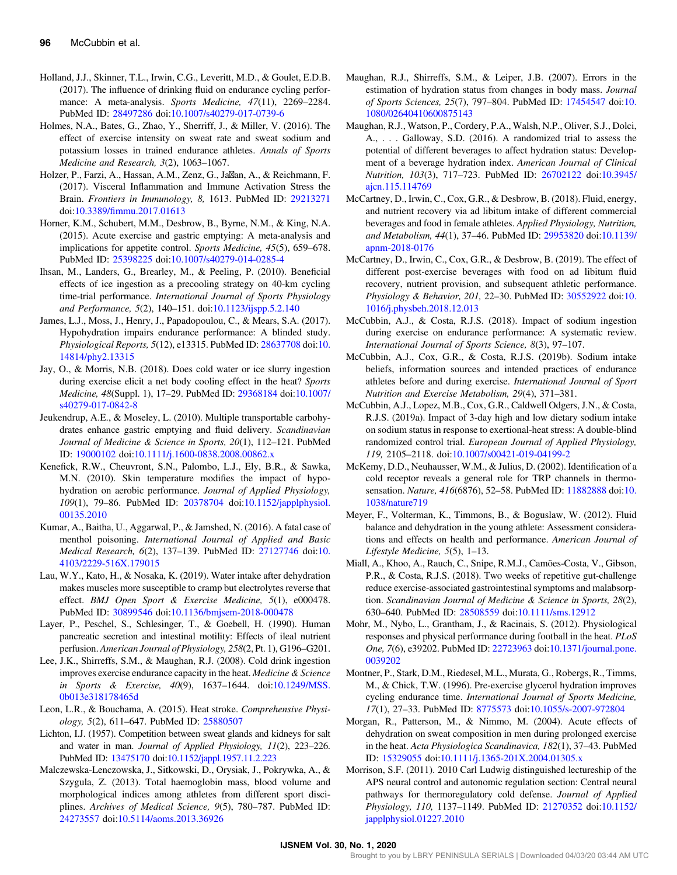- Holland, J.J., Skinner, T.L., Irwin, C.G., Leveritt, M.D., & Goulet, E.D.B. (2017). The influence of drinking fluid on endurance cycling performance: A meta-analysis. Sports Medicine, 47(11), 2269-2284. PubMed ID: 28497286 doi:10.1007/s40279-017-0739-6
- Holmes, N.A., Bates, G., Zhao, Y., Sherriff, J., & Miller, V. (2016). The effect of exercise intensity on sweat rate and sweat sodium and potassium losses in trained endurance athletes. Annals of Sports Medicine and Research, 3(2), 1063–1067.
- Holzer, P., Farzi, A., Hassan, A.M., Zenz, G., Ja<sub> $\boxtimes$ an, A., & Reichmann, F.</sub> (2017). Visceral Inflammation and Immune Activation Stress the Brain. Frontiers in Immunology, 8, 1613. PubMed ID: 29213271 doi:10.3389/fimmu.2017.01613
- Horner, K.M., Schubert, M.M., Desbrow, B., Byrne, N.M., & King, N.A. (2015). Acute exercise and gastric emptying: A meta-analysis and implications for appetite control. Sports Medicine, 45(5), 659–678. PubMed ID: 25398225 doi:10.1007/s40279-014-0285-4
- Ihsan, M., Landers, G., Brearley, M., & Peeling, P. (2010). Beneficial effects of ice ingestion as a precooling strategy on 40-km cycling time-trial performance. International Journal of Sports Physiology and Performance, 5(2), 140–151. doi:10.1123/ijspp.5.2.140
- James, L.J., Moss, J., Henry, J., Papadopoulou, C., & Mears, S.A. (2017). Hypohydration impairs endurance performance: A blinded study. Physiological Reports, 5(12), e13315. PubMed ID: 28637708 doi:10. 14814/phy2.13315
- Jay, O., & Morris, N.B. (2018). Does cold water or ice slurry ingestion during exercise elicit a net body cooling effect in the heat? Sports Medicine, 48(Suppl. 1), 17–29. PubMed ID: 29368184 doi:10.1007/ s40279-017-0842-8
- Jeukendrup, A.E., & Moseley, L. (2010). Multiple transportable carbohydrates enhance gastric emptying and fluid delivery. Scandinavian Journal of Medicine & Science in Sports, 20(1), 112–121. PubMed ID: 19000102 doi:10.1111/j.1600-0838.2008.00862.x
- Kenefick, R.W., Cheuvront, S.N., Palombo, L.J., Ely, B.R., & Sawka, M.N. (2010). Skin temperature modifies the impact of hypohydration on aerobic performance. Journal of Applied Physiology, 109(1), 79–86. PubMed ID: 20378704 doi:10.1152/japplphysiol. 00135.2010
- Kumar, A., Baitha, U., Aggarwal, P., & Jamshed, N. (2016). A fatal case of menthol poisoning. International Journal of Applied and Basic Medical Research, 6(2), 137–139. PubMed ID: 27127746 doi:10. 4103/2229-516X.179015
- Lau, W.Y., Kato, H., & Nosaka, K. (2019). Water intake after dehydration makes muscles more susceptible to cramp but electrolytes reverse that effect. BMJ Open Sport & Exercise Medicine, 5(1), e000478. PubMed ID: 30899546 doi:10.1136/bmjsem-2018-000478
- Layer, P., Peschel, S., Schlesinger, T., & Goebell, H. (1990). Human pancreatic secretion and intestinal motility: Effects of ileal nutrient perfusion. American Journal of Physiology, 258(2, Pt. 1), G196–G201.
- Lee, J.K., Shirreffs, S.M., & Maughan, R.J. (2008). Cold drink ingestion improves exercise endurance capacity in the heat. Medicine & Science in Sports & Exercise, 40(9), 1637–1644. doi:10.1249/MSS. 0b013e318178465d
- Leon, L.R., & Bouchama, A. (2015). Heat stroke. Comprehensive Physiology, 5(2), 611–647. PubMed ID: 25880507
- Lichton, I.J. (1957). Competition between sweat glands and kidneys for salt and water in man. Journal of Applied Physiology, 11(2), 223–226. PubMed ID: 13475170 doi:10.1152/jappl.1957.11.2.223
- Malczewska-Lenczowska, J., Sitkowski, D., Orysiak, J., Pokrywka, A., & Szygula, Z. (2013). Total haemoglobin mass, blood volume and morphological indices among athletes from different sport disciplines. Archives of Medical Science, 9(5), 780–787. PubMed ID: 24273557 doi:10.5114/aoms.2013.36926
- Maughan, R.J., Shirreffs, S.M., & Leiper, J.B. (2007). Errors in the estimation of hydration status from changes in body mass. Journal of Sports Sciences, 25(7), 797–804. PubMed ID: 17454547 doi:10. 1080/02640410600875143
- Maughan, R.J., Watson, P., Cordery, P.A., Walsh, N.P., Oliver, S.J., Dolci, A., . . . Galloway, S.D. (2016). A randomized trial to assess the potential of different beverages to affect hydration status: Development of a beverage hydration index. American Journal of Clinical Nutrition, 103(3), 717–723. PubMed ID: 26702122 doi:10.3945/ ajcn.115.114769
- McCartney, D., Irwin, C., Cox, G.R., & Desbrow, B. (2018). Fluid, energy, and nutrient recovery via ad libitum intake of different commercial beverages and food in female athletes. Applied Physiology, Nutrition, and Metabolism, 44(1), 37–46. PubMed ID: 29953820 doi:10.1139/ apnm-2018-0176
- McCartney, D., Irwin, C., Cox, G.R., & Desbrow, B. (2019). The effect of different post-exercise beverages with food on ad libitum fluid recovery, nutrient provision, and subsequent athletic performance. Physiology & Behavior, 201, 22–30. PubMed ID: 30552922 doi:10. 1016/j.physbeh.2018.12.013
- McCubbin, A.J., & Costa, R.J.S. (2018). Impact of sodium ingestion during exercise on endurance performance: A systematic review. International Journal of Sports Science, 8(3), 97–107.
- McCubbin, A.J., Cox, G.R., & Costa, R.J.S. (2019b). Sodium intake beliefs, information sources and intended practices of endurance athletes before and during exercise. International Journal of Sport Nutrition and Exercise Metabolism, 29(4), 371–381.
- McCubbin, A.J., Lopez, M.B., Cox, G.R., Caldwell Odgers, J.N., & Costa, R.J.S. (2019a). Impact of 3-day high and low dietary sodium intake on sodium status in response to exertional-heat stress: A double-blind randomized control trial. European Journal of Applied Physiology, 119, 2105–2118. doi:10.1007/s00421-019-04199-2
- McKemy, D.D., Neuhausser, W.M., & Julius, D. (2002). Identification of a cold receptor reveals a general role for TRP channels in thermosensation. Nature, 416(6876), 52–58. PubMed ID: 11882888 doi:10. 1038/nature719
- Meyer, F., Volterman, K., Timmons, B., & Boguslaw, W. (2012). Fluid balance and dehydration in the young athlete: Assessment considerations and effects on health and performance. American Journal of Lifestyle Medicine, 5(5), 1–13.
- Miall, A., Khoo, A., Rauch, C., Snipe, R.M.J., Camões-Costa, V., Gibson, P.R., & Costa, R.J.S. (2018). Two weeks of repetitive gut-challenge reduce exercise-associated gastrointestinal symptoms and malabsorption. Scandinavian Journal of Medicine & Science in Sports, 28(2), 630–640. PubMed ID: 28508559 doi:10.1111/sms.12912
- Mohr, M., Nybo, L., Grantham, J., & Racinais, S. (2012). Physiological responses and physical performance during football in the heat. PLoS One, 7(6), e39202. PubMed ID: 22723963 doi:10.1371/journal.pone. 0039202
- Montner, P., Stark, D.M., Riedesel, M.L., Murata, G., Robergs, R., Timms, M., & Chick, T.W. (1996). Pre-exercise glycerol hydration improves cycling endurance time. International Journal of Sports Medicine, 17(1), 27–33. PubMed ID: 8775573 doi:10.1055/s-2007-972804
- Morgan, R., Patterson, M., & Nimmo, M. (2004). Acute effects of dehydration on sweat composition in men during prolonged exercise in the heat. Acta Physiologica Scandinavica, 182(1), 37–43. PubMed ID: 15329055 doi:10.1111/j.1365-201X.2004.01305.x
- Morrison, S.F. (2011). 2010 Carl Ludwig distinguished lectureship of the APS neural control and autonomic regulation section: Central neural pathways for thermoregulatory cold defense. Journal of Applied Physiology, 110, 1137–1149. PubMed ID: 21270352 doi:10.1152/ japplphysiol.01227.2010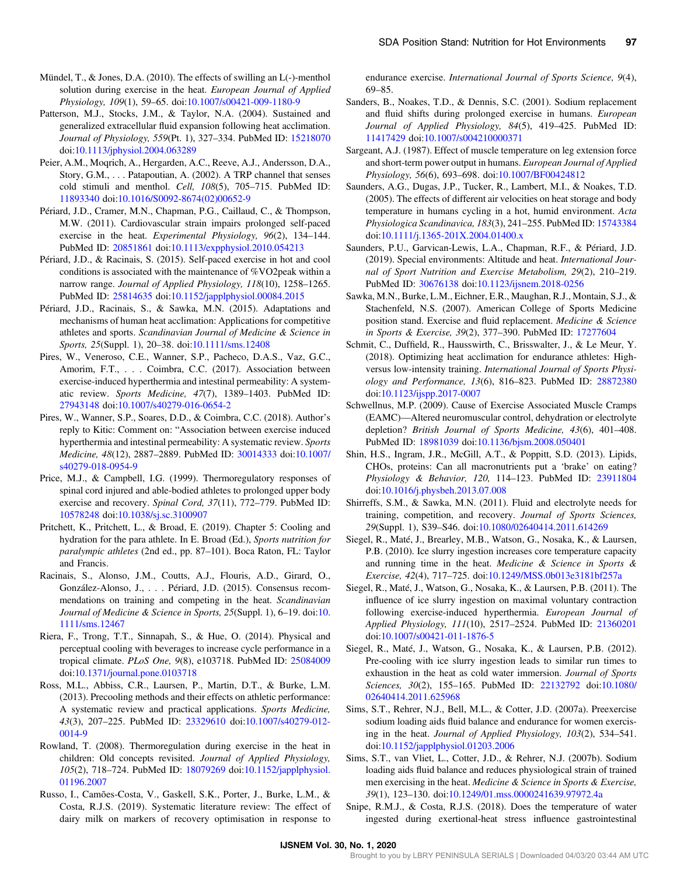- Mündel, T., & Jones, D.A. (2010). The effects of swilling an L(-)-menthol solution during exercise in the heat. European Journal of Applied Physiology, 109(1), 59–65. doi:10.1007/s00421-009-1180-9
- Patterson, M.J., Stocks, J.M., & Taylor, N.A. (2004). Sustained and generalized extracellular fluid expansion following heat acclimation. Journal of Physiology, 559(Pt. 1), 327–334. PubMed ID: 15218070 doi:10.1113/jphysiol.2004.063289
- Peier, A.M., Moqrich, A., Hergarden, A.C., Reeve, A.J., Andersson, D.A., Story, G.M., . . . Patapoutian, A. (2002). A TRP channel that senses cold stimuli and menthol. Cell, 108(5), 705–715. PubMed ID: 11893340 doi:10.1016/S0092-8674(02)00652-9
- Périard, J.D., Cramer, M.N., Chapman, P.G., Caillaud, C., & Thompson, M.W. (2011). Cardiovascular strain impairs prolonged self-paced exercise in the heat. Experimental Physiology, 96(2), 134–144. PubMed ID: 20851861 doi:10.1113/expphysiol.2010.054213
- Périard, J.D., & Racinais, S. (2015). Self-paced exercise in hot and cool conditions is associated with the maintenance of %VO2peak within a narrow range. Journal of Applied Physiology, 118(10), 1258–1265. PubMed ID: 25814635 doi:10.1152/japplphysiol.00084.2015
- Périard, J.D., Racinais, S., & Sawka, M.N. (2015). Adaptations and mechanisms of human heat acclimation: Applications for competitive athletes and sports. Scandinavian Journal of Medicine & Science in Sports, 25(Suppl. 1), 20–38. doi:10.1111/sms.12408
- Pires, W., Veneroso, C.E., Wanner, S.P., Pacheco, D.A.S., Vaz, G.C., Amorim, F.T., . . . Coimbra, C.C. (2017). Association between exercise-induced hyperthermia and intestinal permeability: A systematic review. Sports Medicine, 47(7), 1389–1403. PubMed ID: 27943148 doi:10.1007/s40279-016-0654-2
- Pires, W., Wanner, S.P., Soares, D.D., & Coimbra, C.C. (2018). Author's reply to Kitic: Comment on: "Association between exercise induced hyperthermia and intestinal permeability: A systematic review. Sports Medicine, 48(12), 2887–2889. PubMed ID: 30014333 doi:10.1007/ s40279-018-0954-9
- Price, M.J., & Campbell, I.G. (1999). Thermoregulatory responses of spinal cord injured and able-bodied athletes to prolonged upper body exercise and recovery. Spinal Cord, 37(11), 772–779. PubMed ID: 10578248 doi:10.1038/sj.sc.3100907
- Pritchett, K., Pritchett, L., & Broad, E. (2019). Chapter 5: Cooling and hydration for the para athlete. In E. Broad (Ed.), Sports nutrition for paralympic athletes (2nd ed., pp. 87–101). Boca Raton, FL: Taylor and Francis.
- Racinais, S., Alonso, J.M., Coutts, A.J., Flouris, A.D., Girard, O., González-Alonso, J., . . . Périard, J.D. (2015). Consensus recommendations on training and competing in the heat. Scandinavian Journal of Medicine & Science in Sports, 25(Suppl. 1), 6-19. doi:10. 1111/sms.12467
- Riera, F., Trong, T.T., Sinnapah, S., & Hue, O. (2014). Physical and perceptual cooling with beverages to increase cycle performance in a tropical climate. PLoS One, 9(8), e103718. PubMed ID: 25084009 doi:10.1371/journal.pone.0103718
- Ross, M.L., Abbiss, C.R., Laursen, P., Martin, D.T., & Burke, L.M. (2013). Precooling methods and their effects on athletic performance: A systematic review and practical applications. Sports Medicine, 43(3), 207–225. PubMed ID: 23329610 doi:10.1007/s40279-012- 0014-9
- Rowland, T. (2008). Thermoregulation during exercise in the heat in children: Old concepts revisited. Journal of Applied Physiology, 105(2), 718–724. PubMed ID: 18079269 doi:10.1152/japplphysiol. 01196.2007
- Russo, I., Camões-Costa, V., Gaskell, S.K., Porter, J., Burke, L.M., & Costa, R.J.S. (2019). Systematic literature review: The effect of dairy milk on markers of recovery optimisation in response to

endurance exercise. International Journal of Sports Science, 9(4), 69–85.

- Sanders, B., Noakes, T.D., & Dennis, S.C. (2001). Sodium replacement and fluid shifts during prolonged exercise in humans. European Journal of Applied Physiology, 84(5), 419–425. PubMed ID: 11417429 doi:10.1007/s004210000371
- Sargeant, A.J. (1987). Effect of muscle temperature on leg extension force and short-term power output in humans. European Journal of Applied Physiology, 56(6), 693–698. doi:10.1007/BF00424812
- Saunders, A.G., Dugas, J.P., Tucker, R., Lambert, M.I., & Noakes, T.D. (2005). The effects of different air velocities on heat storage and body temperature in humans cycling in a hot, humid environment. Acta Physiologica Scandinavica, 183(3), 241–255. PubMed ID: 15743384 doi:10.1111/j.1365-201X.2004.01400.x
- Saunders, P.U., Garvican-Lewis, L.A., Chapman, R.F., & Périard, J.D. (2019). Special environments: Altitude and heat. International Journal of Sport Nutrition and Exercise Metabolism, 29(2), 210–219. PubMed ID: 30676138 doi:10.1123/ijsnem.2018-0256
- Sawka, M.N., Burke, L.M., Eichner, E.R., Maughan, R.J., Montain, S.J., & Stachenfeld, N.S. (2007). American College of Sports Medicine position stand. Exercise and fluid replacement. Medicine & Science in Sports & Exercise, 39(2), 377–390. PubMed ID: 17277604
- Schmit, C., Duffield, R., Hausswirth, C., Brisswalter, J., & Le Meur, Y. (2018). Optimizing heat acclimation for endurance athletes: Highversus low-intensity training. International Journal of Sports Physiology and Performance, 13(6), 816–823. PubMed ID: 28872380 doi:10.1123/ijspp.2017-0007
- Schwellnus, M.P. (2009). Cause of Exercise Associated Muscle Cramps (EAMC)—Altered neuromuscular control, dehydration or electrolyte depletion? British Journal of Sports Medicine, 43(6), 401–408. PubMed ID: 18981039 doi:10.1136/bjsm.2008.050401
- Shin, H.S., Ingram, J.R., McGill, A.T., & Poppitt, S.D. (2013). Lipids, CHOs, proteins: Can all macronutrients put a 'brake' on eating? Physiology & Behavior, 120, 114–123. PubMed ID: 23911804 doi:10.1016/j.physbeh.2013.07.008
- Shirreffs, S.M., & Sawka, M.N. (2011). Fluid and electrolyte needs for training, competition, and recovery. Journal of Sports Sciences, 29(Suppl. 1), S39–S46. doi:10.1080/02640414.2011.614269
- Siegel, R., Maté, J., Brearley, M.B., Watson, G., Nosaka, K., & Laursen, P.B. (2010). Ice slurry ingestion increases core temperature capacity and running time in the heat. Medicine & Science in Sports & Exercise, 42(4), 717–725. doi:10.1249/MSS.0b013e3181bf257a
- Siegel, R., Maté, J., Watson, G., Nosaka, K., & Laursen, P.B. (2011). The influence of ice slurry ingestion on maximal voluntary contraction following exercise-induced hyperthermia. European Journal of Applied Physiology, 111(10), 2517–2524. PubMed ID: 21360201 doi:10.1007/s00421-011-1876-5
- Siegel, R., Maté, J., Watson, G., Nosaka, K., & Laursen, P.B. (2012). Pre-cooling with ice slurry ingestion leads to similar run times to exhaustion in the heat as cold water immersion. Journal of Sports Sciences, 30(2), 155–165. PubMed ID: 22132792 doi:10.1080/ 02640414.2011.625968
- Sims, S.T., Rehrer, N.J., Bell, M.L., & Cotter, J.D. (2007a). Preexercise sodium loading aids fluid balance and endurance for women exercising in the heat. Journal of Applied Physiology, 103(2), 534–541. doi:10.1152/japplphysiol.01203.2006
- Sims, S.T., van Vliet, L., Cotter, J.D., & Rehrer, N.J. (2007b). Sodium loading aids fluid balance and reduces physiological strain of trained men exercising in the heat. Medicine & Science in Sports & Exercise, 39(1), 123–130. doi:10.1249/01.mss.0000241639.97972.4a
- Snipe, R.M.J., & Costa, R.J.S. (2018). Does the temperature of water ingested during exertional-heat stress influence gastrointestinal